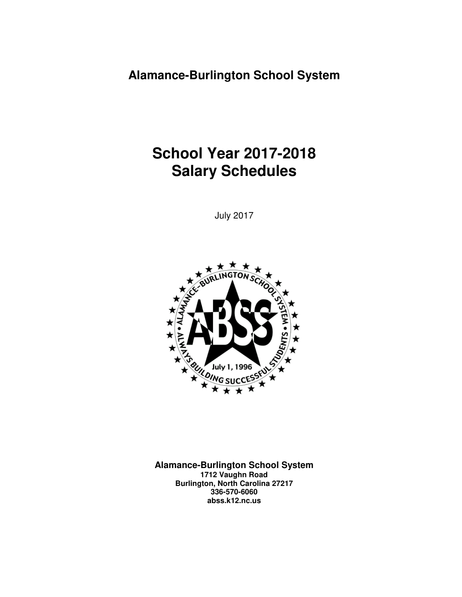# **School Year 2017-2018 Salary Schedules**

July 2017



**Alamance-Burlington School System 1712 Vaughn Road Burlington, North Carolina 27217 336-570-6060 abss.k12.nc.us**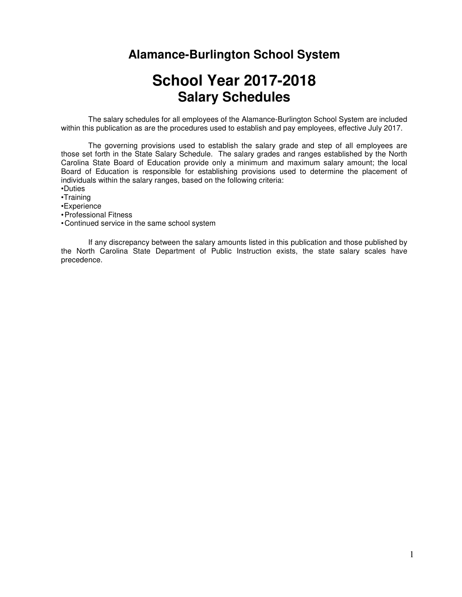# **School Year 2017-2018 Salary Schedules**

The salary schedules for all employees of the Alamance-Burlington School System are included within this publication as are the procedures used to establish and pay employees, effective July 2017.

 The governing provisions used to establish the salary grade and step of all employees are those set forth in the State Salary Schedule. The salary grades and ranges established by the North Carolina State Board of Education provide only a minimum and maximum salary amount; the local Board of Education is responsible for establishing provisions used to determine the placement of individuals within the salary ranges, based on the following criteria:

•Duties

•Training

•Experience

• Professional Fitness

• Continued service in the same school system

 If any discrepancy between the salary amounts listed in this publication and those published by the North Carolina State Department of Public Instruction exists, the state salary scales have precedence.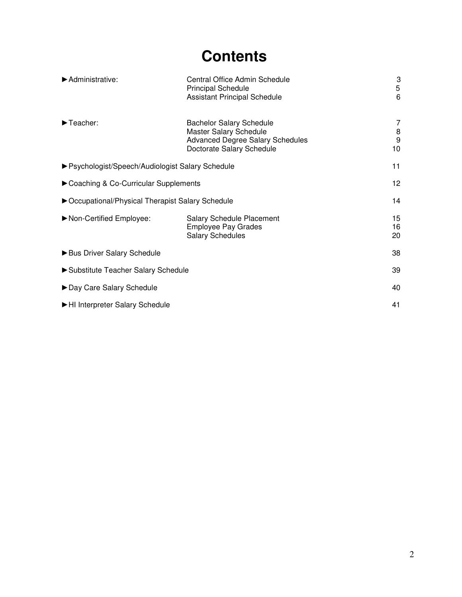# **Contents**

| $\blacktriangleright$ Administrative:             | Central Office Admin Schedule<br><b>Principal Schedule</b><br><b>Assistant Principal Schedule</b>                                 | 3<br>5<br>6       |  |  |  |
|---------------------------------------------------|-----------------------------------------------------------------------------------------------------------------------------------|-------------------|--|--|--|
| $\blacktriangleright$ Teacher:                    | <b>Bachelor Salary Schedule</b><br>Master Salary Schedule<br><b>Advanced Degree Salary Schedules</b><br>Doctorate Salary Schedule | 7<br>8<br>9<br>10 |  |  |  |
| ▶ Psychologist/Speech/Audiologist Salary Schedule | 11                                                                                                                                |                   |  |  |  |
| Coaching & Co-Curricular Supplements              |                                                                                                                                   |                   |  |  |  |
| ▶ Occupational/Physical Therapist Salary Schedule | 14                                                                                                                                |                   |  |  |  |
| Non-Certified Employee:                           | <b>Salary Schedule Placement</b><br><b>Employee Pay Grades</b><br><b>Salary Schedules</b>                                         | 15<br>16<br>20    |  |  |  |
| Bus Driver Salary Schedule                        |                                                                                                                                   |                   |  |  |  |
| Substitute Teacher Salary Schedule                |                                                                                                                                   |                   |  |  |  |
| ▶ Day Care Salary Schedule                        |                                                                                                                                   |                   |  |  |  |
| HI Interpreter Salary Schedule                    |                                                                                                                                   |                   |  |  |  |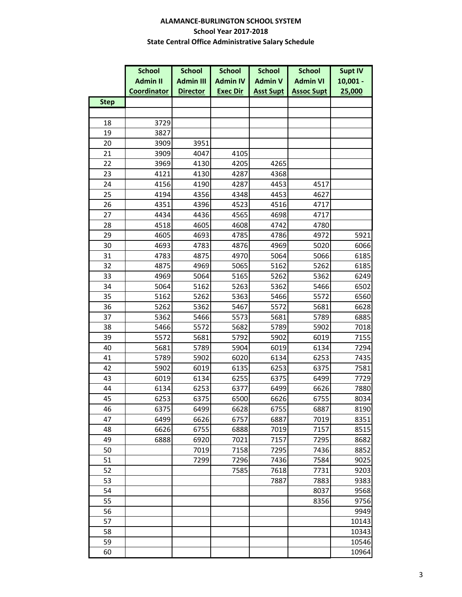#### **ALAMANCE-BURLINGTON SCHOOL SYSTEM School Year 2017-2018 State Central Office Administrative Salary Schedule**

|             | <b>School</b>      | <b>School</b><br><b>School</b> |                 | <b>School</b>    | <b>School</b>     | <b>Supt IV</b> |  |
|-------------|--------------------|--------------------------------|-----------------|------------------|-------------------|----------------|--|
|             | <b>Admin II</b>    | <b>Admin III</b>               | <b>Admin IV</b> | <b>Admin V</b>   | <b>Admin VI</b>   | $10,001 -$     |  |
|             | <b>Coordinator</b> | <b>Director</b>                | <b>Exec Dir</b> | <b>Asst Supt</b> | <b>Assoc Supt</b> | 25,000         |  |
| <b>Step</b> |                    |                                |                 |                  |                   |                |  |
|             |                    |                                |                 |                  |                   |                |  |
| 18          | 3729               |                                |                 |                  |                   |                |  |
| 19          | 3827               |                                |                 |                  |                   |                |  |
| 20          | 3909               | 3951                           |                 |                  |                   |                |  |
| 21          | 3909               | 4047                           | 4105            |                  |                   |                |  |
| 22          | 3969               | 4130                           | 4205            | 4265             |                   |                |  |
| 23          | 4121               | 4130                           | 4287            | 4368             |                   |                |  |
| 24          | 4156               | 4190                           | 4287            | 4453             | 4517              |                |  |
| 25          | 4194               | 4356                           | 4348            | 4453             | 4627              |                |  |
| 26          | 4351               | 4396                           | 4523            | 4516             | 4717              |                |  |
| 27          | 4434               | 4436                           | 4565            | 4698             | 4717              |                |  |
| 28          | 4518               | 4605                           | 4608            | 4742             | 4780              |                |  |
| 29          | 4605               | 4693                           | 4785            | 4786             | 4972              | 5921           |  |
| 30          | 4693               | 4783                           | 4876            | 4969             | 5020              | 6066           |  |
| 31          | 4783               | 4875                           | 4970            | 5064             | 5066              | 6185           |  |
| 32          | 4875               | 4969                           | 5065            | 5162             | 5262              | 6185           |  |
| 33          | 4969               | 5064                           | 5165            | 5262             | 5362              | 6249           |  |
| 34          | 5064               | 5162                           | 5263            | 5362             | 5466              | 6502           |  |
| 35          | 5162               | 5262                           | 5363            | 5466             | 5572              | 6560           |  |
| 36          | 5262               | 5362                           | 5467            | 5572             | 5681              | 6628           |  |
| 37          | 5362               | 5466                           | 5573            | 5681             | 5789              | 6885           |  |
| 38          | 5466               | 5572                           | 5682            | 5789             | 5902              | 7018           |  |
| 39          | 5572               | 5681                           | 5792            | 5902             | 6019              | 7155           |  |
| 40          | 5681               | 5789                           | 5904            | 6019             | 6134              | 7294           |  |
| 41          | 5789               | 5902                           | 6020            | 6134             | 6253              | 7435           |  |
| 42          | 5902               | 6019                           | 6135            | 6253             | 6375              | 7581           |  |
| 43          | 6019               | 6134                           | 6255            | 6375             | 6499              | 7729           |  |
| 44          | 6134               | 6253                           | 6377            | 6499             | 6626              | 7880           |  |
| 45          | 6253               | 6375                           | 6500            | 6626             | 6755              | 8034           |  |
| 46          | 6375               | 6499                           | 6628            | 6755             | 6887              | 8190           |  |
| 47          | 6499               | 6626                           | 6757            | 6887             | 7019              | 8351           |  |
| 48          | 6626               | 6755                           | 6888            | 7019             | 7157              | 8515           |  |
| 49          | 6888               | 6920                           | 7021            | 7157             | 7295              | 8682           |  |
| 50          |                    | 7019                           | 7158            | 7295             | 7436              | 8852           |  |
| 51          |                    | 7299                           | 7296            | 7436             | 7584              | 9025           |  |
| 52          |                    |                                | 7585            | 7618             | 7731              | 9203           |  |
| 53          |                    |                                |                 | 7887             | 7883              | 9383           |  |
| 54          |                    |                                |                 |                  | 8037              | 9568           |  |
| 55          |                    |                                |                 |                  | 8356              | 9756           |  |
| 56          |                    |                                |                 |                  |                   | 9949           |  |
| 57          |                    |                                |                 |                  |                   | 10143          |  |
| 58          |                    |                                |                 |                  |                   | 10343          |  |
| 59          |                    |                                |                 |                  |                   | 10546          |  |
| 60          |                    |                                |                 |                  |                   | 10964          |  |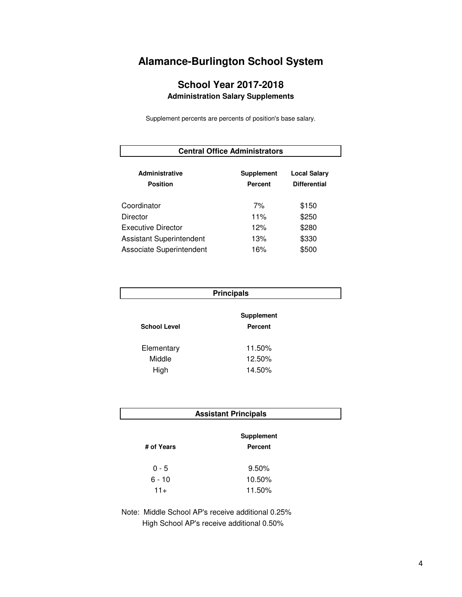## **School Year 2017-2018 Administration Salary Supplements**

Supplement percents are percents of position's base salary.

| <b>Central Office Administrators</b> |                   |                     |  |  |  |  |  |
|--------------------------------------|-------------------|---------------------|--|--|--|--|--|
| <b>Administrative</b>                | <b>Supplement</b> | <b>Local Salary</b> |  |  |  |  |  |
| <b>Position</b>                      | <b>Percent</b>    | <b>Differential</b> |  |  |  |  |  |
| Coordinator                          | 7%                | \$150               |  |  |  |  |  |
| Director                             | 11%               | \$250               |  |  |  |  |  |
| Executive Director                   | 12%               | \$280               |  |  |  |  |  |
| <b>Assistant Superintendent</b>      | 13%               | \$330               |  |  |  |  |  |
| Associate Superintendent             | 16%               | \$500               |  |  |  |  |  |

| <b>Principals</b>                                          |        |  |  |  |  |  |
|------------------------------------------------------------|--------|--|--|--|--|--|
| <b>Supplement</b><br><b>School Level</b><br><b>Percent</b> |        |  |  |  |  |  |
| Elementary                                                 | 11.50% |  |  |  |  |  |
| Middle                                                     | 12.50% |  |  |  |  |  |
| High                                                       | 14.50% |  |  |  |  |  |

| <b>Assistant Principals</b> |
|-----------------------------|
|-----------------------------|

|            | <b>Supplement</b> |
|------------|-------------------|
| # of Years | Percent           |
| 0 - 5      | $9.50\%$          |
| $6 - 10$   | 10.50%            |
| $11+$      | 11.50%            |

Note: Middle School AP's receive additional 0.25% High School AP's receive additional 0.50%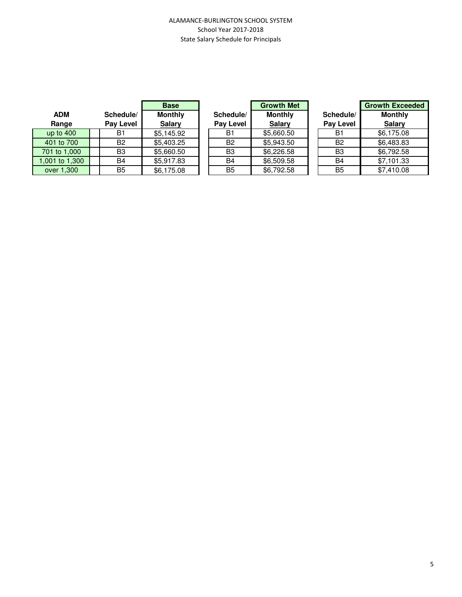#### ALAMANCE-BURLINGTON SCHOOL SYSTEM School Year 2017-2018 State Salary Schedule for Principals

|                |                | <b>Base</b>    |                | <b>Growth Met</b> |                | <b>Growth Exce</b> |
|----------------|----------------|----------------|----------------|-------------------|----------------|--------------------|
| <b>ADM</b>     | Schedule/      | <b>Monthly</b> | Schedule/      | <b>Monthly</b>    | Schedule/      | <b>Monthly</b>     |
| Range          | Pay Level      | <b>Salary</b>  | Pay Level      | <b>Salary</b>     | Pay Level      | <b>Salary</b>      |
| up to $400$    | B1             | \$5,145.92     | <b>B1</b>      | \$5,660.50        | B <sub>1</sub> | \$6,175.08         |
| 401 to 700     | <b>B2</b>      | \$5,403.25     | <b>B2</b>      | \$5,943.50        | B <sub>2</sub> | \$6,483.83         |
| 701 to 1,000   | B3             | \$5,660.50     | B <sub>3</sub> | \$6,226.58        | B3             | \$6,792.58         |
| 1,001 to 1,300 | B4             | \$5,917.83     | B4             | \$6,509.58        | <b>B4</b>      | \$7,101.33         |
| over 1,300     | B <sub>5</sub> | \$6,175.08     | B <sub>5</sub> | \$6,792.58        | B <sub>5</sub> | \$7,410.08         |

|                  | <b>Growth Met</b> |
|------------------|-------------------|
| Schedule/        | <b>Monthly</b>    |
| <b>Pay Level</b> | <b>Salary</b>     |
| B1               | \$5,660.50        |
| B2               | \$5,943.50        |
| B3               | \$6,226.58        |
| B4               | \$6,509.58        |
| B5               | \$6.792.58        |

| <b>Base</b> |                | <b>Growth Met</b> |                  | <b>Growth Exceeded</b> |
|-------------|----------------|-------------------|------------------|------------------------|
| lonthly     | Schedule/      | <b>Monthly</b>    | Schedule/        | <b>Monthly</b>         |
| Salary      | Pay Level      | <b>Salary</b>     | <b>Pay Level</b> | <b>Salary</b>          |
| .145.92     | B1             | \$5,660.50        | B1               | \$6,175.08             |
| .403.25     | <b>B2</b>      | \$5,943.50        | <b>B2</b>        | \$6,483.83             |
| .660.50     | B <sub>3</sub> | \$6,226.58        | B <sub>3</sub>   | \$6,792.58             |
| .917.83     | <b>B4</b>      | \$6,509.58        | <b>B4</b>        | \$7,101.33             |
| .175.08     | B <sub>5</sub> | \$6,792.58        | B <sub>5</sub>   | \$7,410.08             |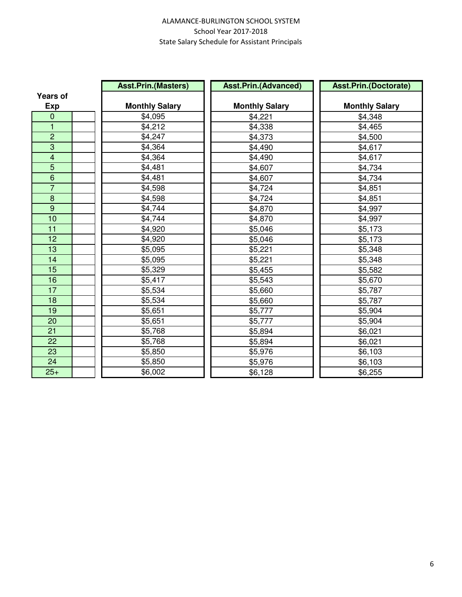#### ALAMANCE-BURLINGTON SCHOOL SYSTEM School Year 2017-2018 State Salary Schedule for Assistant Principals

|                         | <b>Asst.Prin.(Masters)</b> | <b>Asst.Prin.(Advanced)</b> | <b>Asst.Prin.(Doctorate)</b> |
|-------------------------|----------------------------|-----------------------------|------------------------------|
| <b>Years of</b>         |                            |                             |                              |
| <b>Exp</b>              | <b>Monthly Salary</b>      | <b>Monthly Salary</b>       | <b>Monthly Salary</b>        |
| $\mathbf 0$             | \$4,095                    | \$4,221                     | \$4,348                      |
| 1                       | \$4,212                    | \$4,338                     | \$4,465                      |
| $\overline{c}$          | \$4,247                    | \$4,373                     | \$4,500                      |
| $\overline{3}$          | \$4,364                    | \$4,490                     | \$4,617                      |
| $\overline{\mathbf{4}}$ | \$4,364                    | \$4,490                     | \$4,617                      |
| 5                       | \$4,481                    | \$4,607                     | \$4,734                      |
| $\overline{6}$          | \$4,481                    | \$4,607                     | \$4,734                      |
| $\overline{7}$          | \$4,598                    | \$4,724                     | \$4,851                      |
| 8                       | \$4,598                    | \$4,724                     | \$4,851                      |
| 9                       | \$4,744                    | \$4,870                     | \$4,997                      |
| 10                      | \$4,744                    | \$4,870                     | \$4,997                      |
| 11                      | \$4,920                    | \$5,046                     | \$5,173                      |
| 12                      | \$4,920                    | \$5,046                     | \$5,173                      |
| 13                      | \$5,095                    | \$5,221                     | \$5,348                      |
| 14                      | \$5,095                    | \$5,221                     | \$5,348                      |
| 15                      | \$5,329                    | \$5,455                     | \$5,582                      |
| 16                      | \$5,417                    | \$5,543                     | \$5,670                      |
| $\overline{17}$         | \$5,534                    | \$5,660                     | \$5,787                      |
| 18                      | \$5,534                    | \$5,660                     | \$5,787                      |
| 19                      | \$5,651                    | \$5,777                     | \$5,904                      |
| 20                      | \$5,651                    | \$5,777                     | \$5,904                      |
| 21                      | \$5,768                    | \$5,894                     | \$6,021                      |
| 22                      | \$5,768                    | \$5,894                     | \$6,021                      |
| 23                      | \$5,850                    | \$5,976                     | \$6,103                      |
| 24                      | \$5,850                    | \$5,976                     | \$6,103                      |
| $25+$                   | \$6,002                    | \$6,128                     | \$6,255                      |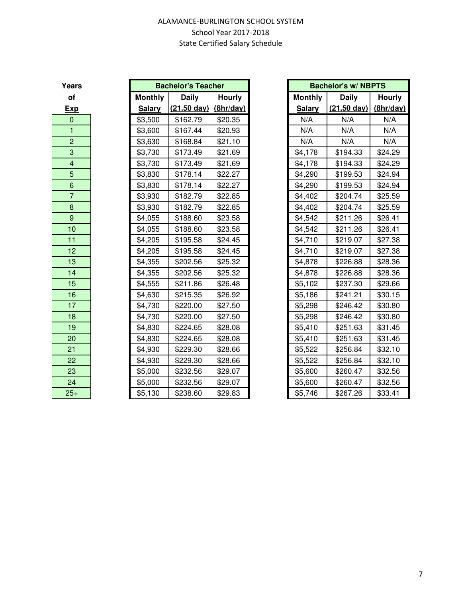| Years                   |                | <b>Bachelor's Teacher</b> |               | <b>Bachelor's w/ NBPTS</b> |                       |               |
|-------------------------|----------------|---------------------------|---------------|----------------------------|-----------------------|---------------|
| of                      | <b>Monthly</b> | <b>Daily</b>              | <b>Hourly</b> | <b>Monthly</b>             | <b>Daily</b>          | <b>Hourly</b> |
| <b>Exp</b>              | <b>Salary</b>  | $(21.50 \text{ day})$     | (8hr/day)     | <b>Salary</b>              | $(21.50 \text{ day})$ | (8hr/day)     |
| $\boldsymbol{0}$        | \$3,500        | \$162.79                  | \$20.35       | N/A                        | N/A                   | N/A           |
| $\mathbf{1}$            | \$3,600        | \$167.44                  | \$20.93       | N/A                        | N/A                   | N/A           |
| $\overline{2}$          | \$3,630        | \$168.84                  | \$21.10       | N/A                        | N/A                   | N/A           |
| 3                       | \$3,730        | \$173.49                  | \$21.69       | \$4,178                    | \$194.33              | \$24.29       |
| $\overline{\mathbf{4}}$ | \$3,730        | \$173.49                  | \$21.69       | \$4,178                    | \$194.33              | \$24.29       |
| 5                       | \$3,830        | \$178.14                  | \$22.27       | \$4,290                    | \$199.53              | \$24.94       |
| 6                       | \$3,830        | \$178.14                  | \$22.27       | \$4,290                    | \$199.53              | \$24.94       |
| $\overline{7}$          | \$3,930        | \$182.79                  | \$22.85       | \$4,402                    | \$204.74              | \$25.59       |
| 8                       | \$3,930        | \$182.79                  | \$22.85       | \$4,402                    | \$204.74              | \$25.59       |
| 9                       | \$4,055        | \$188.60                  | \$23.58       | \$4,542                    | \$211.26              | \$26.41       |
| 10                      | \$4,055        | \$188.60                  | \$23.58       | \$4,542                    | \$211.26              | \$26.41       |
| 11                      | \$4,205        | \$195.58                  | \$24.45       | \$4,710                    | \$219.07              | \$27.38       |
| 12                      | \$4,205        | \$195.58                  | \$24.45       | \$4,710                    | \$219.07              | \$27.38       |
| 13                      | \$4,355        | \$202.56                  | \$25.32       | \$4,878                    | \$226.88              | \$28.36       |
| 14                      | \$4,355        | \$202.56                  | \$25.32       | \$4,878                    | \$226.88              | \$28.36       |
| 15                      | \$4,555        | \$211.86                  | \$26.48       | \$5,102                    | \$237.30              | \$29.66       |
| 16                      | \$4,630        | \$215.35                  | \$26.92       | \$5,186                    | \$241.21              | \$30.15       |
| 17                      | \$4,730        | \$220.00                  | \$27.50       | \$5,298                    | \$246.42              | \$30.80       |
| 18                      | \$4,730        | \$220.00                  | \$27.50       | \$5,298                    | \$246.42              | \$30.80       |
| 19                      | \$4,830        | \$224.65                  | \$28.08       | \$5,410                    | \$251.63              | \$31.45       |
| 20                      | \$4,830        | \$224.65                  | \$28.08       | \$5,410                    | \$251.63              | \$31.45       |
| 21                      | \$4,930        | \$229.30                  | \$28.66       | \$5,522                    | \$256.84              | \$32.10       |
| 22                      | \$4,930        | \$229.30                  | \$28.66       | \$5,522                    | \$256.84              | \$32.10       |
| 23                      | \$5,000        | \$232.56                  | \$29.07       | \$5,600                    | \$260.47              | \$32.56       |
| 24                      | \$5,000        | \$232.56                  | \$29.07       | \$5,600                    | \$260.47              | \$32.56       |
| $25+$                   | \$5,130        | \$238.60                  | \$29.83       | \$5,746                    | \$267.26              | \$33.41       |

| ears <sup>'</sup>       | <b>Bachelor's Teacher</b> |                       |               |                | <b>Bachelor's w/ NBPTS</b>      |               |
|-------------------------|---------------------------|-----------------------|---------------|----------------|---------------------------------|---------------|
| of                      | <b>Monthly</b>            | <b>Daily</b>          | <b>Hourly</b> | <b>Monthly</b> | <b>Daily</b>                    | <b>Hourly</b> |
| <u>Exp</u>              | <b>Salary</b>             | $(21.50 \text{ day})$ | (8hr/day)     | <b>Salary</b>  | $(21.50 \text{ day})$ (8hr/day) |               |
| $\mathbf{0}$            | \$3,500                   | \$162.79              | \$20.35       | N/A            | N/A                             | N/A           |
| $\mathbf{1}$            | \$3,600                   | \$167.44              | \$20.93       | N/A            | N/A                             | N/A           |
| $\overline{c}$          | \$3,630                   | \$168.84              | \$21.10       | N/A            | N/A                             | N/A           |
| 3                       | \$3,730                   | \$173.49              | \$21.69       | \$4,178        | \$194.33                        | \$24.29       |
| $\overline{\mathbf{4}}$ | \$3,730                   | \$173.49              | \$21.69       | \$4,178        | \$194.33                        | \$24.29       |
| 5                       | \$3,830                   | \$178.14              | \$22.27       | \$4,290        | \$199.53                        | \$24.94       |
| $\,$ 6 $\,$             | \$3,830                   | \$178.14              | \$22.27       | \$4,290        | \$199.53                        | \$24.94       |
| $\overline{7}$          | \$3,930                   | \$182.79              | \$22.85       | \$4,402        | \$204.74                        | \$25.59       |
| $\,8\,$                 | \$3,930                   | \$182.79              | \$22.85       | \$4,402        | \$204.74                        | \$25.59       |
| $\boldsymbol{9}$        | \$4,055                   | \$188.60              | \$23.58       | \$4,542        | \$211.26                        | \$26.41       |
| 10                      | \$4,055                   | \$188.60              | \$23.58       | \$4,542        | \$211.26                        | \$26.41       |
| 11                      | \$4,205                   | \$195.58              | \$24.45       | \$4,710        | \$219.07                        | \$27.38       |
| 12                      | \$4,205                   | \$195.58              | \$24.45       | \$4,710        | \$219.07                        | \$27.38       |
| 13                      | \$4,355                   | \$202.56              | \$25.32       | \$4,878        | \$226.88                        | \$28.36       |
| 14                      | \$4,355                   | \$202.56              | \$25.32       | \$4,878        | \$226.88                        | \$28.36       |
| 15                      | \$4,555                   | \$211.86              | \$26.48       | \$5,102        | \$237.30                        | \$29.66       |
| 16                      | \$4,630                   | \$215.35              | \$26.92       | \$5,186        | \$241.21                        | \$30.15       |
| 17                      | \$4,730                   | \$220.00              | \$27.50       | \$5,298        | \$246.42                        | \$30.80       |
| 18                      | \$4,730                   | \$220.00              | \$27.50       | \$5,298        | \$246.42                        | \$30.80       |
| 19                      | \$4,830                   | \$224.65              | \$28.08       | \$5,410        | \$251.63                        | \$31.45       |
| 20                      | \$4,830                   | \$224.65              | \$28.08       | \$5,410        | \$251.63                        | \$31.45       |
| 21                      | \$4,930                   | \$229.30              | \$28.66       | \$5,522        | \$256.84                        | \$32.10       |
| 22                      | \$4,930                   | \$229.30              | \$28.66       | \$5,522        | \$256.84                        | \$32.10       |
| 23                      | \$5,000                   | \$232.56              | \$29.07       | \$5,600        | \$260.47                        | \$32.56       |
| 24                      | \$5,000                   | \$232.56              | \$29.07       | \$5,600        | \$260.47                        | \$32.56       |
| $25+$                   | \$5,130                   | \$238.60              | \$29.83       | \$5,746        | \$267.26                        | \$33.41       |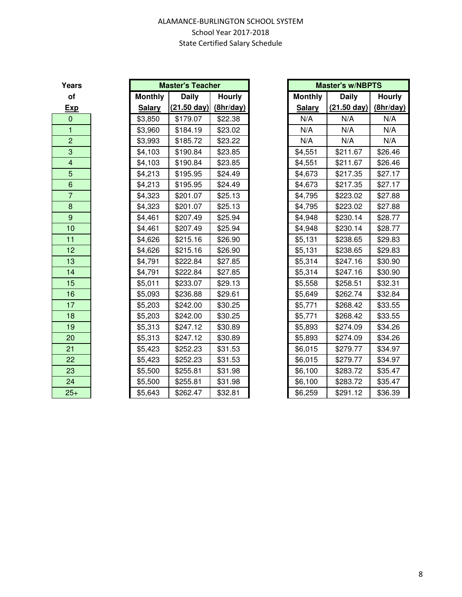| Years                   |                | <b>Master's Teacher</b> |               | <b>Master's w/NBPTS</b> |                       |               |
|-------------------------|----------------|-------------------------|---------------|-------------------------|-----------------------|---------------|
| of                      | <b>Monthly</b> | <b>Daily</b>            | <b>Hourly</b> | <b>Monthly</b>          | <b>Daily</b>          | <b>Hourly</b> |
| <b>Exp</b>              | <b>Salary</b>  | $(21.50 \text{ day})$   | (8hr/day)     | <b>Salary</b>           | $(21.50 \text{ day})$ | (8hr/day)     |
| $\mathbf 0$             | \$3,850        | \$179.07                | \$22.38       | N/A                     | N/A                   | N/A           |
| $\mathbf{1}$            | \$3,960        | \$184.19                | \$23.02       | N/A                     | N/A                   | N/A           |
| $\overline{2}$          | \$3,993        | \$185.72                | \$23.22       | N/A                     | N/A                   | N/A           |
| 3                       | \$4,103        | \$190.84                | \$23.85       | \$4,551                 | \$211.67              | \$26.46       |
| $\overline{\mathbf{4}}$ | \$4,103        | \$190.84                | \$23.85       | \$4,551                 | \$211.67              | \$26.46       |
| 5                       | \$4,213        | \$195.95                | \$24.49       | \$4,673                 | \$217.35              | \$27.17       |
| $\,6\,$                 | \$4,213        | \$195.95                | \$24.49       | \$4,673                 | \$217.35              | \$27.17       |
| $\overline{7}$          | \$4,323        | \$201.07                | \$25.13       | \$4,795                 | \$223.02              | \$27.88       |
| $\bf 8$                 | \$4,323        | \$201.07                | \$25.13       | \$4,795                 | \$223.02              | \$27.88       |
| $\overline{9}$          | \$4,461        | \$207.49                | \$25.94       | \$4,948                 | \$230.14              | \$28.77       |
| 10                      | \$4,461        | \$207.49                | \$25.94       | \$4,948                 | \$230.14              | \$28.77       |
| 11                      | \$4,626        | \$215.16                | \$26.90       | \$5,131                 | \$238.65              | \$29.83       |
| 12 <sub>2</sub>         | \$4,626        | \$215.16                | \$26.90       | \$5,131                 | \$238.65              | \$29.83       |
| 13                      | \$4,791        | \$222.84                | \$27.85       | \$5,314                 | \$247.16              | \$30.90       |
| 14                      | \$4,791        | \$222.84                | \$27.85       | \$5,314                 | \$247.16              | \$30.90       |
| 15                      | \$5,011        | \$233.07                | \$29.13       | \$5,558                 | \$258.51              | \$32.31       |
| 16                      | \$5,093        | \$236.88                | \$29.61       | \$5,649                 | \$262.74              | \$32.84       |
| 17                      | \$5,203        | \$242.00                | \$30.25       | \$5,771                 | \$268.42              | \$33.55       |
| 18                      | \$5,203        | \$242.00                | \$30.25       | \$5,771                 | \$268.42              | \$33.55       |
| 19                      | \$5,313        | \$247.12                | \$30.89       | \$5,893                 | \$274.09              | \$34.26       |
| 20                      | \$5,313        | \$247.12                | \$30.89       | \$5,893                 | \$274.09              | \$34.26       |
| 21                      | \$5,423        | \$252.23                | \$31.53       | \$6,015                 | \$279.77              | \$34.97       |
| 22                      | \$5,423        | \$252.23                | \$31.53       | \$6,015                 | \$279.77              | \$34.97       |
| 23                      | \$5,500        | \$255.81                | \$31.98       | \$6,100                 | \$283.72              | \$35.47       |
| 24                      | \$5,500        | \$255.81                | \$31.98       | \$6,100                 | \$283.72              | \$35.47       |
| $25+$                   | \$5,643        | \$262.47                | \$32.81       | \$6,259                 | \$291.12              | \$36.39       |

| <b>Master's w/NBPTS</b> |              |               |  |  |  |  |  |  |
|-------------------------|--------------|---------------|--|--|--|--|--|--|
| <b>Monthly</b>          | <b>Daily</b> | <b>Hourly</b> |  |  |  |  |  |  |
| <b>Salary</b>           | (21.50 day)  | (8hr/day)     |  |  |  |  |  |  |
| N/A                     | N/A          | N/A           |  |  |  |  |  |  |
| N/A                     | N/A          | N/A           |  |  |  |  |  |  |
| N/A                     | N/A          | N/A           |  |  |  |  |  |  |
| \$4,551                 | \$211.67     | \$26.46       |  |  |  |  |  |  |
| \$4,551                 | \$211.67     | \$26.46       |  |  |  |  |  |  |
| \$4,673                 | \$217.35     | \$27.17       |  |  |  |  |  |  |
| \$4,673                 | \$217.35     | \$27.17       |  |  |  |  |  |  |
| \$4,795                 | \$223.02     | \$27.88       |  |  |  |  |  |  |
| \$4,795                 | \$223.02     | \$27.88       |  |  |  |  |  |  |
| \$4,948                 | \$230.14     | \$28.77       |  |  |  |  |  |  |
| \$4,948                 | \$230.14     | \$28.77       |  |  |  |  |  |  |
| \$5,131                 | \$238.65     | \$29.83       |  |  |  |  |  |  |
| \$5,131                 | \$238.65     | \$29.83       |  |  |  |  |  |  |
| \$5,314                 | \$247.16     | \$30.90       |  |  |  |  |  |  |
| \$5,314                 | \$247.16     | \$30.90       |  |  |  |  |  |  |
| \$5,558                 | \$258.51     | \$32.31       |  |  |  |  |  |  |
| \$5,649                 | \$262.74     | \$32.84       |  |  |  |  |  |  |
| \$5,771                 | \$268.42     | \$33.55       |  |  |  |  |  |  |
| \$5,771                 | \$268.42     | \$33.55       |  |  |  |  |  |  |
| \$5,893                 | \$274.09     | \$34.26       |  |  |  |  |  |  |
| \$5,893                 | \$274.09     | \$34.26       |  |  |  |  |  |  |
| \$6,015                 | \$279.77     | \$34.97       |  |  |  |  |  |  |
| \$6,015                 | \$279.77     | \$34.97       |  |  |  |  |  |  |
| \$6,100                 | \$283.72     | \$35.47       |  |  |  |  |  |  |
| \$6,100                 | \$283.72     | \$35.47       |  |  |  |  |  |  |
| \$6,259                 | \$291.12     | \$36.39       |  |  |  |  |  |  |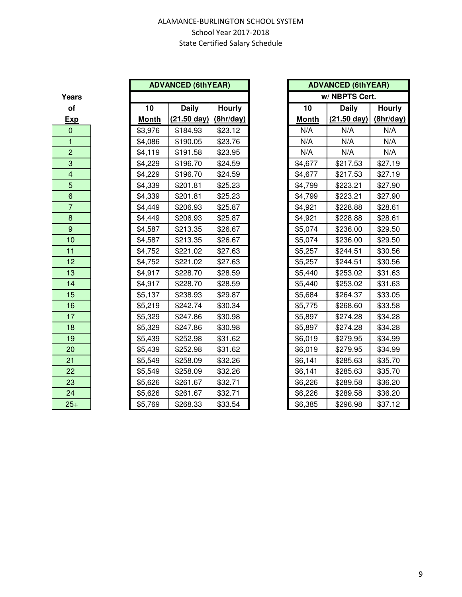| 1          |
|------------|
| <u>Moi</u> |
| \$3,9      |
| \$4,0      |
| \$4,1      |
| \$4,2      |
| \$4,2      |
| \$4,3      |
| \$4,3      |
| \$4,4      |
| \$4,4      |
| \$4,5      |
| \$4,5      |
| \$4,7      |
| \$4,7      |
| \$4,9      |
| \$4,9      |
| \$5,1      |
| \$5,2      |
| \$5,3      |
| \$5,3      |
| \$5,4      |
| \$5,4      |
| \$5,5      |
| \$5,5      |
| \$5,6      |
| \$5,6      |
| \$5,7      |
|            |

|                  |              | <b>ADVANCED (6thYEAR)</b> |               |              | <b>ADVANCED (6thYEAR)</b> |               |
|------------------|--------------|---------------------------|---------------|--------------|---------------------------|---------------|
| ears             |              |                           |               |              | w/NBPTS Cert.             |               |
| of               | 10           | <b>Daily</b>              | <b>Hourly</b> | 10           | <b>Daily</b>              | <b>Hourly</b> |
| <u>Exp</u>       | <b>Month</b> | $(21.50 \text{ day})$     | (8hr/day)     | <b>Month</b> | $(21.50 \text{ day})$     | (8hr/day)     |
| $\mathbf{0}$     | \$3,976      | \$184.93                  | \$23.12       | N/A          | N/A                       | N/A           |
| $\mathbf{1}$     | \$4,086      | \$190.05                  | \$23.76       | N/A          | N/A                       | N/A           |
| $\overline{2}$   | \$4,119      | \$191.58                  | \$23.95       | N/A          | N/A                       | N/A           |
| $\mathbf{3}$     | \$4,229      | \$196.70                  | \$24.59       | \$4,677      | \$217.53                  | \$27.19       |
| $\overline{4}$   | \$4,229      | \$196.70                  | \$24.59       | \$4,677      | \$217.53                  | \$27.19       |
| 5                | \$4,339      | \$201.81                  | \$25.23       | \$4,799      | \$223.21                  | \$27.90       |
| $\,6\,$          | \$4,339      | \$201.81                  | \$25.23       | \$4,799      | \$223.21                  | \$27.90       |
| $\overline{7}$   | \$4,449      | \$206.93                  | \$25.87       | \$4,921      | \$228.88                  | \$28.61       |
| $\bf 8$          | \$4,449      | \$206.93                  | \$25.87       | \$4,921      | \$228.88                  | \$28.61       |
| $\boldsymbol{9}$ | \$4,587      | \$213.35                  | \$26.67       | \$5,074      | \$236.00                  | \$29.50       |
| 10               | \$4,587      | \$213.35                  | \$26.67       | \$5,074      | \$236.00                  | \$29.50       |
| 11               | \$4,752      | \$221.02                  | \$27.63       | \$5,257      | \$244.51                  | \$30.56       |
| 12               | \$4,752      | \$221.02                  | \$27.63       | \$5,257      | \$244.51                  | \$30.56       |
| 13               | \$4,917      | \$228.70                  | \$28.59       | \$5,440      | \$253.02                  | \$31.63       |
| 14               | \$4,917      | \$228.70                  | \$28.59       | \$5,440      | \$253.02                  | \$31.63       |
| 15               | \$5,137      | \$238.93                  | \$29.87       | \$5,684      | \$264.37                  | \$33.05       |
| 16               | \$5,219      | \$242.74                  | \$30.34       | \$5,775      | \$268.60                  | \$33.58       |
| 17               | \$5,329      | \$247.86                  | \$30.98       | \$5,897      | \$274.28                  | \$34.28       |
| 18               | \$5,329      | \$247.86                  | \$30.98       | \$5,897      | \$274.28                  | \$34.28       |
| 19               | \$5,439      | \$252.98                  | \$31.62       | \$6,019      | \$279.95                  | \$34.99       |
| 20               | \$5,439      | \$252.98                  | \$31.62       | \$6,019      | \$279.95                  | \$34.99       |
| 21               | \$5,549      | \$258.09                  | \$32.26       | \$6,141      | \$285.63                  | \$35.70       |
| 22               | \$5,549      | \$258.09                  | \$32.26       | \$6,141      | \$285.63                  | \$35.70       |
| 23               | \$5,626      | \$261.67                  | \$32.71       | \$6,226      | \$289.58                  | \$36.20       |
| 24               | \$5,626      | \$261.67                  | \$32.71       | \$6,226      | \$289.58                  | \$36.20       |
| $25+$            | \$5,769      | \$268.33                  | \$33.54       | \$6,385      | \$296.98                  | \$37.12       |

|            | <b>ADVANCED (6thYEAR)</b> |               |
|------------|---------------------------|---------------|
|            |                           |               |
| O          | <b>Daily</b>              | <b>Hourly</b> |
| <u>nth</u> | (21.50 day)               | (8hr/day)     |
| 976        | \$184.93                  | \$23.12       |
| 086        | \$190.05                  | \$23.76       |
| 119        | \$191.58                  | \$23.95       |
| 229        | \$196.70                  | \$24.59       |
| 229        | \$196.70                  | \$24.59       |
| 339        | \$201.81                  | \$25.23       |
| 339        | \$201.81                  | \$25.23       |
| 149        | \$206.93                  | \$25.87       |
| 149        | \$206.93                  | \$25.87       |
| 587        | \$213.35                  | \$26.67       |
| 587        | \$213.35                  | \$26.67       |
| 752        | \$221.02                  | \$27.63       |
| 752        | \$221.02                  | \$27.63       |
| 917        | \$228.70                  | \$28.59       |
| 917        | \$228.70                  | \$28.59       |
| 137        | \$238.93                  | \$29.87       |
| 219        | \$242.74                  | \$30.34       |
| 329        | \$247.86                  | \$30.98       |
| 329        | \$247.86                  | \$30.98       |
| 139        | \$252.98                  | \$31.62       |
| 139        | \$252.98                  | \$31.62       |
| 549        | \$258.09                  | \$32.26       |
| 549        | \$258.09                  | \$32.26       |
| 326        | \$261.67                  | \$32.71       |
| 326        | \$261.67                  | \$32.71       |
| 769        | \$268.33                  | \$33.54       |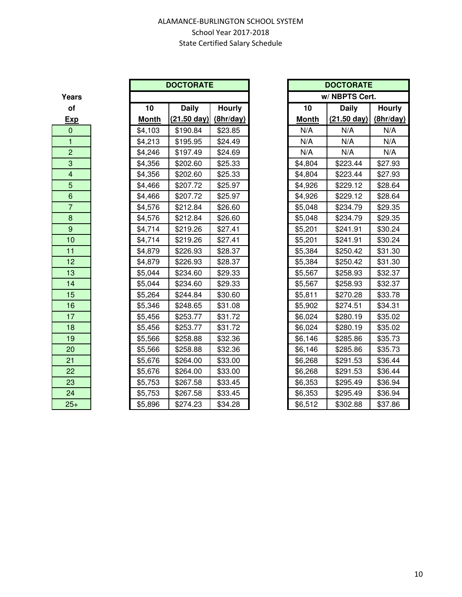**Years** 

|                         |              | <b>DOCTORATE</b>      |               |
|-------------------------|--------------|-----------------------|---------------|
| ears                    |              |                       |               |
| of                      | 10           | <b>Daily</b>          | <b>Hourly</b> |
| <u>Exp</u>              | <b>Month</b> | $(21.50 \text{ day})$ | (8hr/day)     |
| $\mathbf{0}$            | \$4,103      | \$190.84              | \$23.85       |
| $\mathbf{1}$            | \$4,213      | \$195.95              | \$24.49       |
| $\overline{2}$          | \$4,246      | \$197.49              | \$24.69       |
| 3                       | \$4,356      | \$202.60              | \$25.33       |
| $\overline{\mathbf{4}}$ | \$4,356      | \$202.60              | \$25.33       |
| $\overline{5}$          | \$4,466      | \$207.72              | \$25.97       |
| $\boldsymbol{6}$        | \$4,466      | \$207.72              | \$25.97       |
| $\overline{7}$          | \$4,576      | \$212.84              | \$26.60       |
| $\bf 8$                 | \$4,576      | \$212.84              | \$26.60       |
| $9\,$                   | \$4,714      | \$219.26              | \$27.41       |
| 10                      | \$4,714      | \$219.26              | \$27.41       |
| 11                      | \$4,879      | \$226.93              | \$28.37       |
| 12                      | \$4,879      | \$226.93              | \$28.37       |
| 13                      | \$5,044      | \$234.60              | \$29.33       |
| 14                      | \$5,044      | \$234.60              | \$29.33       |
| 15                      | \$5,264      | \$244.84              | \$30.60       |
| 16                      | \$5,346      | \$248.65              | \$31.08       |
| 17                      | \$5,456      | \$253.77              | \$31.72       |
| 18                      | \$5,456      | \$253.77              | \$31.72       |
| 19                      | \$5,566      | \$258.88              | \$32.36       |
| 20                      | \$5,566      | \$258.88              | \$32.36       |
| 21                      | \$5,676      | \$264.00              | \$33.00       |
| 22                      | \$5,676      | \$264.00              | \$33.00       |
| 23                      | \$5,753      | \$267.58              | \$33.45       |
| 24                      | \$5,753      | \$267.58              | \$33.45       |
| $25+$                   | \$5.896      | \$274.23              | \$34.28       |

|                           |              | <b>DOCTORATE</b>      |               |
|---------------------------|--------------|-----------------------|---------------|
| ears                      |              |                       |               |
| of                        | 10           | <b>Daily</b>          | <b>Hourly</b> |
| <u>Exp</u>                | <b>Month</b> | $(21.50 \text{ day})$ | (8hr/day)     |
| $\overline{0}$            | \$4,103      | \$190.84              | \$23.85       |
| $\mathbf{1}$              | \$4,213      | \$195.95              | \$24.49       |
| $\overline{2}$            | \$4,246      | \$197.49              | \$24.69       |
| $\ensuremath{\mathsf{3}}$ | \$4,356      | \$202.60              | \$25.33       |
| $\overline{4}$            | \$4,356      | \$202.60              | \$25.33       |
| $\overline{5}$            | \$4,466      | \$207.72              | \$25.97       |
| $\boldsymbol{6}$          | \$4,466      | \$207.72              | \$25.97       |
| $\overline{7}$            | \$4,576      | \$212.84              | \$26.60       |
| $\bf 8$                   | \$4,576      | \$212.84              | \$26.60       |
| $\boldsymbol{9}$          | \$4,714      | \$219.26              | \$27.41       |
| 10                        | \$4,714      | \$219.26              | \$27.41       |
| 11                        | \$4,879      | \$226.93              | \$28.37       |
| 12                        | \$4,879      | \$226.93              | \$28.37       |
| 13                        | \$5,044      | \$234.60              | \$29.33       |
| 14                        | \$5,044      | \$234.60              | \$29.33       |
| 15                        | \$5,264      | \$244.84              | \$30.60       |
| 16                        | \$5,346      | \$248.65              | \$31.08       |
| 17                        | \$5,456      | \$253.77              | \$31.72       |
| 18                        | \$5,456      | \$253.77              | \$31.72       |
| 19                        | \$5,566      | \$258.88              | \$32.36       |
| 20                        | \$5,566      | \$258.88              | \$32.36       |
| 21                        | \$5,676      | \$264.00              | \$33.00       |
| 22                        | \$5,676      | \$264.00              | \$33.00       |
| 23                        | \$5,753      | \$267.58              | \$33.45       |
| 24                        | \$5,753      | \$267.58              | \$33.45       |
| $25+$                     | \$5,896      | \$274.23              | \$34.28       |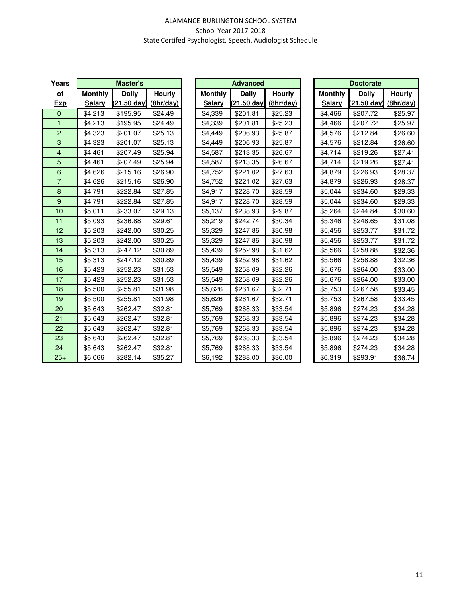#### ALAMANCE-BURLINGTON SCHOOL SYSTEM School Year 2017-2018 State Certifed Psychologist, Speech, Audiologist Schedule

| Years          |                | <b>Master's</b> |           | <b>Advanced</b> |             |               |  | <b>Doctorate</b> |                       |           |  |  |
|----------------|----------------|-----------------|-----------|-----------------|-------------|---------------|--|------------------|-----------------------|-----------|--|--|
| of             | <b>Monthly</b> | Daily           | Hourly    | <b>Monthly</b>  | Daily       | <b>Hourly</b> |  | <b>Monthly</b>   | Daily                 | Hourly    |  |  |
| <b>Exp</b>     | <b>Salary</b>  | (21.50 day)     | (8hr/day) | <b>Salary</b>   | (21.50 day) | (8hr/day)     |  | <b>Salary</b>    | $(21.50 \text{ day})$ | (8hr/day) |  |  |
| $\mathbf 0$    | \$4,213        | \$195.95        | \$24.49   | \$4,339         | \$201.81    | \$25.23       |  | \$4,466          | \$207.72              | \$25.97   |  |  |
| 1              | \$4,213        | \$195.95        | \$24.49   | \$4,339         | \$201.81    | \$25.23       |  | \$4,466          | \$207.72              | \$25.97   |  |  |
| $\overline{2}$ | \$4,323        | \$201.07        | \$25.13   | \$4,449         | \$206.93    | \$25.87       |  | \$4,576          | \$212.84              | \$26.60   |  |  |
| 3              | \$4,323        | \$201.07        | \$25.13   | \$4,449         | \$206.93    | \$25.87       |  | \$4,576          | \$212.84              | \$26.60   |  |  |
| $\overline{4}$ | \$4,461        | \$207.49        | \$25.94   | \$4,587         | \$213.35    | \$26.67       |  | \$4,714          | \$219.26              | \$27.41   |  |  |
| 5              | \$4,461        | \$207.49        | \$25.94   | \$4,587         | \$213.35    | \$26.67       |  | \$4,714          | \$219.26              | \$27.41   |  |  |
| 6              | \$4,626        | \$215.16        | \$26.90   | \$4,752         | \$221.02    | \$27.63       |  | \$4,879          | \$226.93              | \$28.37   |  |  |
| 7              | \$4,626        | \$215.16        | \$26.90   | \$4,752         | \$221.02    | \$27.63       |  | \$4,879          | \$226.93              | \$28.37   |  |  |
| $\bf 8$        | \$4,791        | \$222.84        | \$27.85   | \$4,917         | \$228.70    | \$28.59       |  | \$5,044          | \$234.60              | \$29.33   |  |  |
| 9              | \$4,791        | \$222.84        | \$27.85   | \$4,917         | \$228.70    | \$28.59       |  | \$5,044          | \$234.60              | \$29.33   |  |  |
| 10             | \$5,011        | \$233.07        | \$29.13   | \$5,137         | \$238.93    | \$29.87       |  | \$5,264          | \$244.84              | \$30.60   |  |  |
| 11             | \$5,093        | \$236.88        | \$29.61   | \$5,219         | \$242.74    | \$30.34       |  | \$5,346          | \$248.65              | \$31.08   |  |  |
| 12             | \$5,203        | \$242.00        | \$30.25   | \$5,329         | \$247.86    | \$30.98       |  | \$5,456          | \$253.77              | \$31.72   |  |  |
| 13             | \$5,203        | \$242.00        | \$30.25   | \$5,329         | \$247.86    | \$30.98       |  | \$5,456          | \$253.77              | \$31.72   |  |  |
| 14             | \$5,313        | \$247.12        | \$30.89   | \$5,439         | \$252.98    | \$31.62       |  | \$5,566          | \$258.88              | \$32.36   |  |  |
| 15             | \$5,313        | \$247.12        | \$30.89   | \$5,439         | \$252.98    | \$31.62       |  | \$5,566          | \$258.88              | \$32.36   |  |  |
| 16             | \$5,423        | \$252.23        | \$31.53   | \$5,549         | \$258.09    | \$32.26       |  | \$5,676          | \$264.00              | \$33.00   |  |  |
| 17             | \$5,423        | \$252.23        | \$31.53   | \$5,549         | \$258.09    | \$32.26       |  | \$5,676          | \$264.00              | \$33.00   |  |  |
| 18             | \$5,500        | \$255.81        | \$31.98   | \$5,626         | \$261.67    | \$32.71       |  | \$5,753          | \$267.58              | \$33.45   |  |  |
| 19             | \$5,500        | \$255.81        | \$31.98   | \$5,626         | \$261.67    | \$32.71       |  | \$5,753          | \$267.58              | \$33.45   |  |  |
| 20             | \$5,643        | \$262.47        | \$32.81   | \$5,769         | \$268.33    | \$33.54       |  | \$5,896          | \$274.23              | \$34.28   |  |  |
| 21             | \$5,643        | \$262.47        | \$32.81   | \$5,769         | \$268.33    | \$33.54       |  | \$5,896          | \$274.23              | \$34.28   |  |  |
| 22             | \$5,643        | \$262.47        | \$32.81   | \$5,769         | \$268.33    | \$33.54       |  | \$5,896          | \$274.23              | \$34.28   |  |  |
| 23             | \$5,643        | \$262.47        | \$32.81   | \$5,769         | \$268.33    | \$33.54       |  | \$5,896          | \$274.23              | \$34.28   |  |  |
| 24             | \$5,643        | \$262.47        | \$32.81   | \$5,769         | \$268.33    | \$33.54       |  | \$5,896          | \$274.23              | \$34.28   |  |  |
| $25+$          | \$6,066        | \$282.14        | \$35.27   | \$6,192         | \$288.00    | \$36.00       |  | \$6,319          | \$293.91              | \$36.74   |  |  |

| <b>Advanced</b> |                   |                  |  |  |  |  |
|-----------------|-------------------|------------------|--|--|--|--|
| <b>Monthly</b>  | Daily             | Hourly           |  |  |  |  |
| <b>Salary</b>   | <u>(21.50 day</u> | <u>(8hr/day)</u> |  |  |  |  |
| \$4,339         | \$201.81          | \$25.23          |  |  |  |  |
| \$4,339         | \$201.81          | \$25.23          |  |  |  |  |
| \$4,449         | \$206.93          | \$25.87          |  |  |  |  |
| \$4,449         | \$206.93          | \$25.87          |  |  |  |  |
| \$4,587         | \$213.35          | \$26.67          |  |  |  |  |
| \$4,587         | \$213.35          | \$26.67          |  |  |  |  |
| \$4,752         | \$221.02          | \$27.63          |  |  |  |  |
| \$4,752         | \$221.02          | \$27.63          |  |  |  |  |
| \$4.917         | \$228.70          | \$28.59          |  |  |  |  |
| \$4,917         | \$228.70          | \$28.59          |  |  |  |  |
| \$5,137         | \$238.93          | \$29.87          |  |  |  |  |
| \$5,219         | \$242.74          | \$30.34          |  |  |  |  |
| \$5,329         | \$247.86          | \$30.98          |  |  |  |  |
| \$5,329         | \$247.86          | \$30.98          |  |  |  |  |
| \$5,439         | \$252.98          | \$31.62          |  |  |  |  |
| \$5,439         | \$252.98          | \$31.62          |  |  |  |  |
| \$5.549         | \$258.09          | \$32.26          |  |  |  |  |
| \$5,549         | \$258.09          | \$32.26          |  |  |  |  |
| \$5,626         | \$261.67          | \$32.71          |  |  |  |  |
| \$5,626         | \$261.67          | \$32.71          |  |  |  |  |
| \$5,769         | \$268.33          | \$33.54          |  |  |  |  |
| \$5,769         | \$268.33          | \$33.54          |  |  |  |  |
| \$5,769         | \$268.33          | \$33.54          |  |  |  |  |
| \$5,769         | \$268.33          | \$33.54          |  |  |  |  |
| \$5,769         | \$268.33          | \$33.54          |  |  |  |  |
| \$6,192         | \$288.00          | \$36.00          |  |  |  |  |

| <b>Doctorate</b>           |                    |           |  |  |  |  |  |  |  |
|----------------------------|--------------------|-----------|--|--|--|--|--|--|--|
| Daily<br>Hourly<br>Monthly |                    |           |  |  |  |  |  |  |  |
| Salary                     | <u>(21.50 day)</u> | (8hr/day) |  |  |  |  |  |  |  |
| \$4,466                    | \$207.72           | \$25.97   |  |  |  |  |  |  |  |
| \$4,466                    | \$207.72           | \$25.97   |  |  |  |  |  |  |  |
| \$4,576                    | \$212.84           | \$26.60   |  |  |  |  |  |  |  |
| \$4,576                    | \$212.84           | \$26.60   |  |  |  |  |  |  |  |
| \$4,714                    | \$219.26           | \$27.41   |  |  |  |  |  |  |  |
| \$4,714                    | \$219.26           | \$27.41   |  |  |  |  |  |  |  |
| \$4,879                    | \$226.93           | \$28.37   |  |  |  |  |  |  |  |
| \$4,879                    | \$226.93           | \$28.37   |  |  |  |  |  |  |  |
| \$5,044                    | \$234.60           | \$29.33   |  |  |  |  |  |  |  |
| \$5,044                    | \$234.60           | \$29.33   |  |  |  |  |  |  |  |
| \$5,264                    | \$244.84           | \$30.60   |  |  |  |  |  |  |  |
| \$5,346                    | \$248.65           | \$31.08   |  |  |  |  |  |  |  |
| \$5,456                    | \$253.77           | \$31.72   |  |  |  |  |  |  |  |
| \$5,456                    | \$253.77           | \$31.72   |  |  |  |  |  |  |  |
| \$5,566                    | \$258.88           | \$32.36   |  |  |  |  |  |  |  |
| \$5,566                    | \$258.88           | \$32.36   |  |  |  |  |  |  |  |
| \$5,676                    | \$264.00           | \$33.00   |  |  |  |  |  |  |  |
| \$5,676                    | \$264.00           | \$33.00   |  |  |  |  |  |  |  |
| \$5,753                    | \$267.58           | \$33.45   |  |  |  |  |  |  |  |
| \$5,753                    | \$267.58           | \$33.45   |  |  |  |  |  |  |  |
| \$5,896                    | \$274.23           | \$34.28   |  |  |  |  |  |  |  |
| \$5,896                    | \$274.23           | \$34.28   |  |  |  |  |  |  |  |
| \$5,896                    | \$274.23           | \$34.28   |  |  |  |  |  |  |  |
| \$5,896                    | \$274.23           | \$34.28   |  |  |  |  |  |  |  |
| \$5,896                    | \$274.23           | \$34.28   |  |  |  |  |  |  |  |
| \$6,319                    | \$293.91           | \$36.74   |  |  |  |  |  |  |  |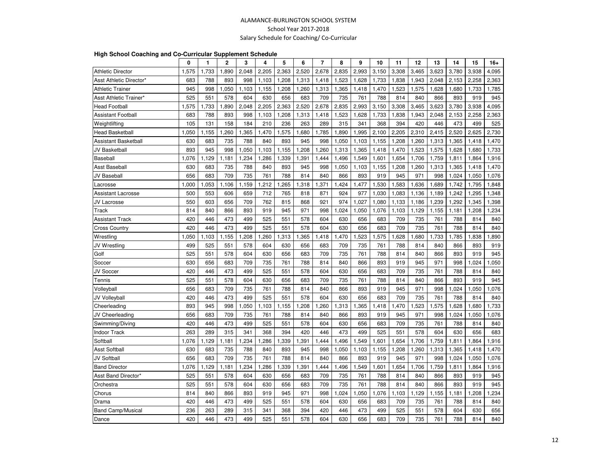#### ALAMANCE-BURLINGTON SCHOOL SYSTEMSchool Year 2017-2018Salary Schedule for Coaching/ Co-Curricular

#### **High School Coaching and Co-Curricular Supplement Schedule**

|                           | 0     | 1     | 2     | 3     | 4         | 5     | 6     | $\overline{7}$ | 8     | 9     | 10    | 11    | 12    | 13    | 14    | 15    | $16+$ |
|---------------------------|-------|-------|-------|-------|-----------|-------|-------|----------------|-------|-------|-------|-------|-------|-------|-------|-------|-------|
| <b>Athletic Director</b>  | 1.575 | 1,733 | 1,890 | 2,048 | 2.205     | 2,363 | 2,520 | 2,678          | 2,835 | 2,993 | 3,150 | 3,308 | 3,465 | 3.623 | 3,780 | 3,938 | 4.095 |
| Asst Athletic Director'   | 683   | 788   | 893   | 998   | 1,103     | 1,208 | 1,313 | 1,418          | 1,523 | 1,628 | 1,733 | 1,838 | 1,943 | 2,048 | 2,153 | 2,258 | 2,363 |
| <b>Athletic Trainer</b>   | 945   | 998   | ,050  | 1,103 | 1,155     | 1,208 | 1,260 | 1,313          | 1,365 | 1,418 | 1,470 | 1,523 | 1,575 | 1,628 | 1,680 | 1,733 | 1,785 |
| Asst Athletic Trainer*    | 525   | 551   | 578   | 604   | 630       | 656   | 683   | 709            | 735   | 761   | 788   | 814   | 840   | 866   | 893   | 919   | 945   |
| <b>Head Football</b>      | 1,575 | 1,733 | ,890  | 2,048 | 2,205     | 2,363 | 2,520 | 2,678          | 2,835 | 2,993 | 3,150 | 3,308 | 3,465 | 3,623 | 3,780 | 3,938 | 4,095 |
| <b>Assistant Football</b> | 683   | 788   | 893   | 998   | 1,103     | 1,208 | 1,313 | 1,418          | 1,523 | 1,628 | 1,733 | 1,838 | 1,943 | 2,048 | 2,153 | 2,258 | 2,363 |
| Weightlifting             | 105   | 131   | 158   | 184   | 210       | 236   | 263   | 289            | 315   | 341   | 368   | 394   | 420   | 446   | 473   | 499   | 525   |
| <b>Head Basketball</b>    | 1,050 | 1,155 | ,260  | 1,365 | 1,470     | 1,575 | ,680  | 1,785          | 1,890 | 1,995 | 2,100 | 2,205 | 2,310 | 2,415 | 2,520 | 2,625 | 2.730 |
| Assistant Basketball      | 630   | 683   | 735   | 788   | 840       | 893   | 945   | 998            | 1,050 | 1,103 | 1,155 | 1,208 | 1,260 | 1,313 | 1,365 | 1,418 | 1,470 |
| JV Basketball             | 893   | 945   | 998   | 1,050 | 1,103     | 1,155 | 1,208 | 1,260          | 1,313 | 1,365 | 1,418 | 1,470 | 1,523 | 1,575 | 1,628 | 1,680 | 1,733 |
| Baseball                  | 1,076 | 1,129 | 1,181 | 1,234 | 1,286     | 1,339 | 1,391 | 1,444          | 1,496 | 1,549 | 1,601 | 1,654 | 1,706 | 1,759 | 1,811 | 1,864 | 1,916 |
| <b>Asst Baseball</b>      | 630   | 683   | 735   | 788   | 840       | 893   | 945   | 998            | 1,050 | 1,103 | 1,155 | 1,208 | 1,260 | 1,313 | 1,365 | 1,418 | 1,470 |
| JV Baseball               | 656   | 683   | 709   | 735   | 761       | 788   | 814   | 840            | 866   | 893   | 919   | 945   | 971   | 998   | 1,024 | 1,050 | 1,076 |
| Lacrosse                  | 1,000 | ,053  | 1,106 | 1,159 | ,212<br>1 | ,265  | ,318  | 1,371          | ,424  | 1,477 | 1,530 | 1,583 | 1,636 | 1,689 | 1,742 | 1,795 | 1,848 |
| <b>Assistant Lacrosse</b> | 500   | 553   | 606   | 659   | 712       | 765   | 818   | 871            | 924   | 977   | 1,030 | 1,083 | 1,136 | 1,189 | 1,242 | 1,295 | 1,348 |
| JV Lacrosse               | 550   | 603   | 656   | 709   | 762       | 815   | 868   | 921            | 974   | 1,027 | 1,080 | 1,133 | 1,186 | 1,239 | 1,292 | 1,345 | 1,398 |
| Track                     | 814   | 840   | 866   | 893   | 919       | 945   | 971   | 998            | 1,024 | 1,050 | 1,076 | 1,103 | 1,129 | 1,155 | 1,181 | 1,208 | 1,234 |
| Assistant Track           | 420   | 446   | 473   | 499   | 525       | 551   | 578   | 604            | 630   | 656   | 683   | 709   | 735   | 761   | 788   | 814   | 840   |
| <b>Cross Country</b>      | 420   | 446   | 473   | 499   | 525       | 551   | 578   | 604            | 630   | 656   | 683   | 709   | 735   | 761   | 788   | 814   | 840   |
| Wrestling                 | 1,050 | 1,103 | 1,155 | 1,208 | 1,260     | 1,313 | ,365  | 1,418          | ,470  | 523   | 1,575 | 1,628 | 1,680 | 1,733 | 1,785 | 1,838 | 1,890 |
| JV Wrestling              | 499   | 525   | 551   | 578   | 604       | 630   | 656   | 683            | 709   | 735   | 761   | 788   | 814   | 840   | 866   | 893   | 919   |
| Golf                      | 525   | 551   | 578   | 604   | 630       | 656   | 683   | 709            | 735   | 761   | 788   | 814   | 840   | 866   | 893   | 919   | 945   |
| Soccer                    | 630   | 656   | 683   | 709   | 735       | 761   | 788   | 814            | 840   | 866   | 893   | 919   | 945   | 971   | 998   | 1,024 | 1,050 |
| JV Soccer                 | 420   | 446   | 473   | 499   | 525       | 551   | 578   | 604            | 630   | 656   | 683   | 709   | 735   | 761   | 788   | 814   | 840   |
| Tennis                    | 525   | 551   | 578   | 604   | 630       | 656   | 683   | 709            | 735   | 761   | 788   | 814   | 840   | 866   | 893   | 919   | 945   |
| Volleyball                | 656   | 683   | 709   | 735   | 761       | 788   | 814   | 840            | 866   | 893   | 919   | 945   | 971   | 998   | 1,024 | 1,050 | 1.076 |
| <b>JV Volleyball</b>      | 420   | 446   | 473   | 499   | 525       | 551   | 578   | 604            | 630   | 656   | 683   | 709   | 735   | 761   | 788   | 814   | 840   |
| Cheerleading              | 893   | 945   | 998   | 1,050 | 1,103     | 1,155 | ,208  | 1,260          | 1,313 | 1,365 | 1,418 | 1,470 | 1,523 | 1,575 | 1,628 | 1,680 | 1,733 |
| JV Cheerleading           | 656   | 683   | 709   | 735   | 761       | 788   | 814   | 840            | 866   | 893   | 919   | 945   | 971   | 998   | 1,024 | 1,050 | 1,076 |
| Swimming/Diving           | 420   | 446   | 473   | 499   | 525       | 551   | 578   | 604            | 630   | 656   | 683   | 709   | 735   | 761   | 788   | 814   | 840   |
| <b>Indoor Track</b>       | 263   | 289   | 315   | 341   | 368       | 394   | 420   | 446            | 473   | 499   | 525   | 551   | 578   | 604   | 630   | 656   | 683   |
| Softball                  | 1,076 | 1,129 | 1,181 | 1,234 | ,286      | ,339  | ,391  | 1,444          | 1,496 | 1,549 | 1,601 | 1,654 | 1,706 | 1,759 | 1,811 | 1,864 | 1,916 |
| <b>Asst Softball</b>      | 630   | 683   | 735   | 788   | 840       | 893   | 945   | 998            | 1,050 | 1,103 | 1,155 | 1,208 | 1,260 | 1,313 | 1,365 | 1,418 | 1,470 |
| <b>JV Softball</b>        | 656   | 683   | 709   | 735   | 761       | 788   | 814   | 840            | 866   | 893   | 919   | 945   | 971   | 998   | 1,024 | 1,050 | 1,076 |
| <b>Band Director</b>      | 1,076 | 1,129 | 1,181 | 1,234 | ,286      | ,339  | ,391  | 1,444          | 496   | 1,549 | 1,601 | 1,654 | 1,706 | 1,759 | 1,811 | 1,864 | 1,916 |
| Asst Band Director*       | 525   | 551   | 578   | 604   | 630       | 656   | 683   | 709            | 735   | 761   | 788   | 814   | 840   | 866   | 893   | 919   | 945   |
| Orchestra                 | 525   | 551   | 578   | 604   | 630       | 656   | 683   | 709            | 735   | 761   | 788   | 814   | 840   | 866   | 893   | 919   | 945   |
| Chorus                    | 814   | 840   | 866   | 893   | 919       | 945   | 971   | 998            | 1,024 | .050  | 1,076 | 1,103 | 1,129 | 1,155 | 1,181 | 1,208 | ,234  |
| Drama                     | 420   | 446   | 473   | 499   | 525       | 551   | 578   | 604            | 630   | 656   | 683   | 709   | 735   | 761   | 788   | 814   | 840   |
| <b>Band Camp/Musical</b>  | 236   | 263   | 289   | 315   | 341       | 368   | 394   | 420            | 446   | 473   | 499   | 525   | 551   | 578   | 604   | 630   | 656   |
| Dance                     | 420   | 446   | 473   | 499   | 525       | 551   | 578   | 604            | 630   | 656   | 683   | 709   | 735   | 761   | 788   | 814   | 840   |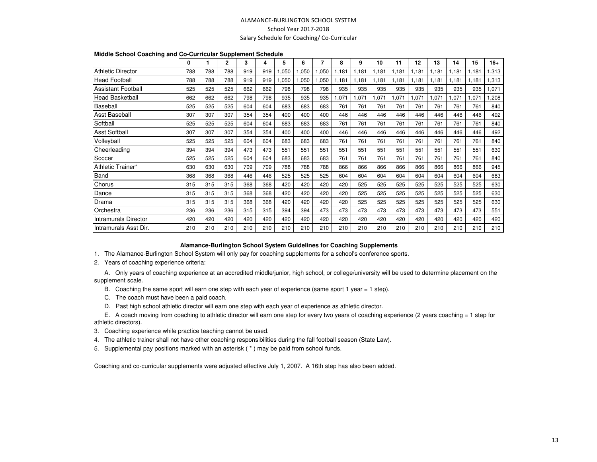#### ALAMANCE-BURLINGTON SCHOOL SYSTEMSchool Year 2017-2018Salary Schedule for Coaching/ Co-Curricular

| Middle School Coaching and Co-Curricular Supplement Schedule |  |  |  |
|--------------------------------------------------------------|--|--|--|
|--------------------------------------------------------------|--|--|--|

|                             | 0   |     | 2   | 3   | 4   | 5    | 6     | 7     | 8     | 9     | 10    | 11    | 12    | 13    | 14    | 15    | $16+$ |
|-----------------------------|-----|-----|-----|-----|-----|------|-------|-------|-------|-------|-------|-------|-------|-------|-------|-------|-------|
| <b>Athletic Director</b>    | 788 | 788 | 788 | 919 | 919 | ,050 | 1,050 | 1,050 | 1,181 | ,181  | 1,181 | 1.181 | 1,181 | 1,181 | 1,181 | 1.181 | 1,313 |
| <b>Head Football</b>        | 788 | 788 | 788 | 919 | 919 | ,050 | ,050  | 1,050 | 1,181 | 1.181 | 1,181 | 1,181 | 1,181 | 1,181 | 1,181 | 1,181 | 1,313 |
| <b>Assistant Football</b>   | 525 | 525 | 525 | 662 | 662 | 798  | 798   | 798   | 935   | 935   | 935   | 935   | 935   | 935   | 935   | 935   | 1,071 |
| Head Basketball             | 662 | 662 | 662 | 798 | 798 | 935  | 935   | 935   | ,071  | ,071  | 1,071 | 1,071 | 1,071 | .071  | 1,071 | ,071  | .208  |
| Baseball                    | 525 | 525 | 525 | 604 | 604 | 683  | 683   | 683   | 761   | 761   | 761   | 761   | 761   | 761   | 761   | 761   | 840   |
| Asst Baseball               | 307 | 307 | 307 | 354 | 354 | 400  | 400   | 400   | 446   | 446   | 446   | 446   | 446   | 446   | 446   | 446   | 492   |
| Softball                    | 525 | 525 | 525 | 604 | 604 | 683  | 683   | 683   | 761   | 761   | 761   | 761   | 761   | 761   | 761   | 761   | 840   |
| <b>Asst Softball</b>        | 307 | 307 | 307 | 354 | 354 | 400  | 400   | 400   | 446   | 446   | 446   | 446   | 446   | 446   | 446   | 446   | 492   |
| Volleyball                  | 525 | 525 | 525 | 604 | 604 | 683  | 683   | 683   | 761   | 761   | 761   | 761   | 761   | 761   | 761   | 761   | 840   |
| Cheerleading                | 394 | 394 | 394 | 473 | 473 | 551  | 551   | 551   | 551   | 551   | 551   | 551   | 551   | 551   | 551   | 551   | 630   |
| Soccer                      | 525 | 525 | 525 | 604 | 604 | 683  | 683   | 683   | 761   | 761   | 761   | 761   | 761   | 761   | 761   | 761   | 840   |
| Athletic Trainer*           | 630 | 630 | 630 | 709 | 709 | 788  | 788   | 788   | 866   | 866   | 866   | 866   | 866   | 866   | 866   | 866   | 945   |
| Band                        | 368 | 368 | 368 | 446 | 446 | 525  | 525   | 525   | 604   | 604   | 604   | 604   | 604   | 604   | 604   | 604   | 683   |
| Chorus                      | 315 | 315 | 315 | 368 | 368 | 420  | 420   | 420   | 420   | 525   | 525   | 525   | 525   | 525   | 525   | 525   | 630   |
| Dance                       | 315 | 315 | 315 | 368 | 368 | 420  | 420   | 420   | 420   | 525   | 525   | 525   | 525   | 525   | 525   | 525   | 630   |
| Drama                       | 315 | 315 | 315 | 368 | 368 | 420  | 420   | 420   | 420   | 525   | 525   | 525   | 525   | 525   | 525   | 525   | 630   |
| Orchestra                   | 236 | 236 | 236 | 315 | 315 | 394  | 394   | 473   | 473   | 473   | 473   | 473   | 473   | 473   | 473   | 473   | 551   |
| <b>Intramurals Director</b> | 420 | 420 | 420 | 420 | 420 | 420  | 420   | 420   | 420   | 420   | 420   | 420   | 420   | 420   | 420   | 420   | 420   |
| Intramurals Asst Dir.       | 210 | 210 | 210 | 210 | 210 | 210  | 210   | 210   | 210   | 210   | 210   | 210   | 210   | 210   | 210   | 210   | 210   |

#### **Alamance-Burlington School System Guidelines for Coaching Supplements**

1. The Alamance-Burlington School System will only pay for coaching supplements for a school's conference sports.

2. Years of coaching experience criteria:

 A. Only years of coaching experience at an accredited middle/junior, high school, or college/university will be used to determine placement on the supplement scale.

- B. Coaching the same sport will earn one step with each year of experience (same sport 1 year = 1 step).
- C. The coach must have been a paid coach.
- D. Past high school athletic director will earn one step with each year of experience as athletic director.

 E. A coach moving from coaching to athletic director will earn one step for every two years of coaching experience (2 years coaching = 1 step forathletic directors).

- 3. Coaching experience while practice teaching cannot be used.
- 4. The athletic trainer shall not have other coaching responsibilities during the fall football season (State Law).
- 5. Supplemental pay positions marked with an asterisk ( \* ) may be paid from school funds.

Coaching and co-curricular supplements were adjusted effective July 1, 2007. A 16th step has also been added.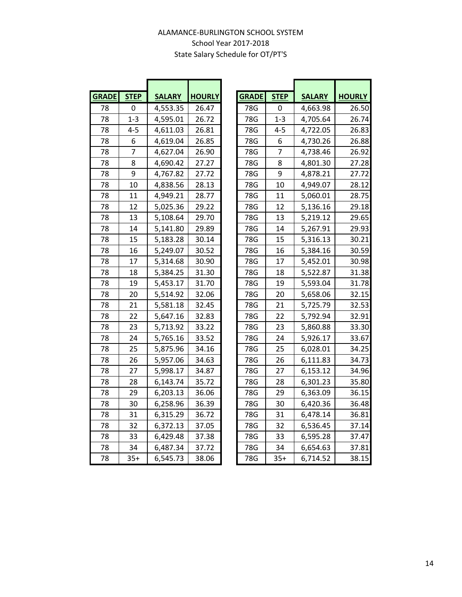## ALAMANCE-BURLINGTON SCHOOL SYSTEM School Year 2017-2018 State Salary Schedule for OT/PT'S

| <b>GRADE</b> | <b>STEP</b> | <b>SALARY</b> | <b>HOURLY</b> |
|--------------|-------------|---------------|---------------|
| 78           | 0           | 4,553.35      | 26.47         |
| 78           | $1 - 3$     | 4,595.01      | 26.72         |
| 78           | 4-5         | 4,611.03      | 26.81         |
| 78           | 6           | 4,619.04      | 26.85         |
| 78           | 7           | 4,627.04      | 26.90         |
| 78           | 8           | 4,690.42      | 27.27         |
| 78           | 9           | 4,767.82      | 27.72         |
| 78           | 10          | 4,838.56      | 28.13         |
| 78           | 11          | 4,949.21      | 28.77         |
| 78           | 12          | 5,025.36      | 29.22         |
| 78           | 13          | 5,108.64      | 29.70         |
| 78           | 14          | 5,141.80      | 29.89         |
| 78           | 15          | 5,183.28      | 30.14         |
| 78           | 16          | 5,249.07      | 30.52         |
| 78           | 17          | 5,314.68      | 30.90         |
| 78           | 18          | 5,384.25      | 31.30         |
| 78           | 19          | 5,453.17      | 31.70         |
| 78           | 20          | 5,514.92      | 32.06         |
| 78           | 21          | 5,581.18      | 32.45         |
| 78           | 22          | 5,647.16      | 32.83         |
| 78           | 23          | 5,713.92      | 33.22         |
| 78           | 24          | 5,765.16      | 33.52         |
| 78           | 25          | 5,875.96      | 34.16         |
| 78           | 26          | 5,957.06      | 34.63         |
| 78           | 27          | 5,998.17      | 34.87         |
| 78           | 28          | 6,143.74      | 35.72         |
| 78           | 29          | 6,203.13      | 36.06         |
| 78           | 30          | 6,258.96      | 36.39         |
| 78           | 31          | 6,315.29      | 36.72         |
| 78           | 32          | 6,372.13      | 37.05         |
| 78           | 33          | 6,429.48      | 37.38         |
| 78           | 34          | 6,487.34      | 37.72         |
| 78           | $35+$       | 6,545.73      | 38.06         |

| <b>GRADE</b> | <b>STEP</b>    | <b>SALARY</b> | <b>HOURLY</b> | <b>GRADE</b> | <b>STEP</b>    | <b>SALARY</b> | <b>HOURLY</b> |
|--------------|----------------|---------------|---------------|--------------|----------------|---------------|---------------|
| 78           | 0              | 4,553.35      | 26.47         | 78G          | 0              | 4,663.98      | 26.50         |
| 78           | $1 - 3$        | 4,595.01      | 26.72         | 78G          | $1 - 3$        | 4,705.64      | 26.74         |
| 78           | $4 - 5$        | 4,611.03      | 26.81         | 78G          | $4 - 5$        | 4,722.05      | 26.83         |
| 78           | 6              | 4,619.04      | 26.85         | 78G          | 6              | 4,730.26      | 26.88         |
| 78           | $\overline{7}$ | 4,627.04      | 26.90         | 78G          | $\overline{7}$ | 4,738.46      | 26.92         |
| 78           | 8              | 4,690.42      | 27.27         | 78G          | 8              | 4,801.30      | 27.28         |
| 78           | 9              | 4,767.82      | 27.72         | 78G          | 9              | 4,878.21      | 27.72         |
| 78           | 10             | 4,838.56      | 28.13         | 78G          | 10             | 4,949.07      | 28.12         |
| 78           | 11             | 4,949.21      | 28.77         | 78G          | 11             | 5,060.01      | 28.75         |
| 78           | 12             | 5,025.36      | 29.22         | 78G          | 12             | 5,136.16      | 29.18         |
| 78           | 13             | 5,108.64      | 29.70         | 78G          | 13             | 5,219.12      | 29.65         |
| 78           | 14             | 5,141.80      | 29.89         | 78G          | 14             | 5,267.91      | 29.93         |
| 78           | 15             | 5,183.28      | 30.14         | 78G          | 15             | 5,316.13      | 30.21         |
| 78           | 16             | 5,249.07      | 30.52         | 78G          | 16             | 5,384.16      | 30.59         |
| 78           | 17             | 5,314.68      | 30.90         | 78G          | 17             | 5,452.01      | 30.98         |
| 78           | 18             | 5,384.25      | 31.30         | 78G          | 18             | 5,522.87      | 31.38         |
| 78           | 19             | 5,453.17      | 31.70         | 78G          | 19             | 5,593.04      | 31.78         |
| 78           | 20             | 5,514.92      | 32.06         | 78G          | 20             | 5,658.06      | 32.15         |
| 78           | 21             | 5,581.18      | 32.45         | 78G          | 21             | 5,725.79      | 32.53         |
| 78           | 22             | 5,647.16      | 32.83         | 78G          | 22             | 5,792.94      | 32.91         |
| 78           | 23             | 5,713.92      | 33.22         | 78G          | 23             | 5,860.88      | 33.30         |
| 78           | 24             | 5,765.16      | 33.52         | 78G          | 24             | 5,926.17      | 33.67         |
| 78           | 25             | 5,875.96      | 34.16         | 78G          | 25             | 6,028.01      | 34.25         |
| 78           | 26             | 5,957.06      | 34.63         | 78G          | 26             | 6,111.83      | 34.73         |
| 78           | 27             | 5,998.17      | 34.87         | 78G          | 27             | 6,153.12      | 34.96         |
| 78           | 28             | 6,143.74      | 35.72         | 78G          | 28             | 6,301.23      | 35.80         |
| 78           | 29             | 6,203.13      | 36.06         | 78G          | 29             | 6,363.09      | 36.15         |
| 78           | 30             | 6,258.96      | 36.39         | 78G          | 30             | 6,420.36      | 36.48         |
| 78           | 31             | 6,315.29      | 36.72         | 78G          | 31             | 6,478.14      | 36.81         |
| 78           | 32             | 6,372.13      | 37.05         | 78G          | 32             | 6,536.45      | 37.14         |
| 78           | 33             | 6,429.48      | 37.38         | 78G          | 33             | 6,595.28      | 37.47         |
| 78           | 34             | 6,487.34      | 37.72         | 78G          | 34             | 6,654.63      | 37.81         |
| 78           | $35+$          | 6,545.73      | 38.06         | 78G          | $35+$          | 6,714.52      | 38.15         |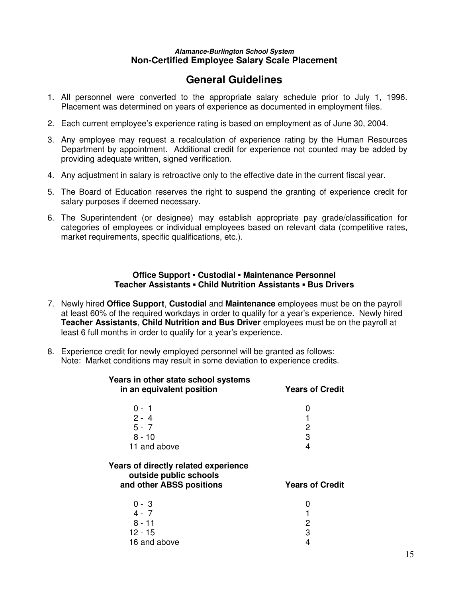#### **Alamance-Burlington School System Non-Certified Employee Salary Scale Placement**

## **General Guidelines**

- 1. All personnel were converted to the appropriate salary schedule prior to July 1, 1996. Placement was determined on years of experience as documented in employment files.
- 2. Each current employee's experience rating is based on employment as of June 30, 2004.
- 3. Any employee may request a recalculation of experience rating by the Human Resources Department by appointment. Additional credit for experience not counted may be added by providing adequate written, signed verification.
- 4. Any adjustment in salary is retroactive only to the effective date in the current fiscal year.
- 5. The Board of Education reserves the right to suspend the granting of experience credit for salary purposes if deemed necessary.
- 6. The Superintendent (or designee) may establish appropriate pay grade/classification for categories of employees or individual employees based on relevant data (competitive rates, market requirements, specific qualifications, etc.).

#### **Office Support ▪ Custodial ▪ Maintenance Personnel Teacher Assistants ▪ Child Nutrition Assistants ▪ Bus Drivers**

- 7. Newly hired **Office Support**, **Custodial** and **Maintenance** employees must be on the payroll at least 60% of the required workdays in order to qualify for a year's experience. Newly hired **Teacher Assistants**, **Child Nutrition and Bus Driver** employees must be on the payroll at least 6 full months in order to qualify for a year's experience.
- 8. Experience credit for newly employed personnel will be granted as follows: Note: Market conditions may result in some deviation to experience credits.

| Years in other state school systems<br>in an equivalent position                           | <b>Years of Credit</b> |
|--------------------------------------------------------------------------------------------|------------------------|
| $0 - 1$                                                                                    | 0                      |
| $2 - 4$                                                                                    |                        |
| $5 - 7$                                                                                    | 2                      |
| $8 - 10$                                                                                   | 3                      |
| 11 and above                                                                               | 4                      |
| Years of directly related experience<br>outside public schools<br>and other ABSS positions | <b>Years of Credit</b> |
| $0 - 3$                                                                                    | 0                      |
| $4 - 7$                                                                                    |                        |
| $8 - 11$                                                                                   | 2                      |
| 12 - 15                                                                                    | 3                      |
| 16 and above                                                                               | 4                      |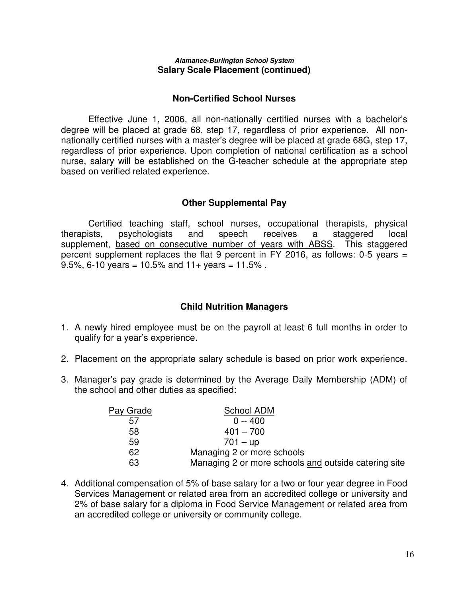#### **Alamance-Burlington School System Salary Scale Placement (continued)**

#### **Non-Certified School Nurses**

 Effective June 1, 2006, all non-nationally certified nurses with a bachelor's degree will be placed at grade 68, step 17, regardless of prior experience. All nonnationally certified nurses with a master's degree will be placed at grade 68G, step 17, regardless of prior experience. Upon completion of national certification as a school nurse, salary will be established on the G-teacher schedule at the appropriate step based on verified related experience.

#### **Other Supplemental Pay**

Certified teaching staff, school nurses, occupational therapists, physical therapists, psychologists and speech receives a staggered local supplement, based on consecutive number of years with ABSS. This staggered percent supplement replaces the flat 9 percent in FY 2016, as follows: 0-5 years = 9.5%, 6-10 years = 10.5% and  $11+$  years = 11.5%.

#### **Child Nutrition Managers**

- 1. A newly hired employee must be on the payroll at least 6 full months in order to qualify for a year's experience.
- 2. Placement on the appropriate salary schedule is based on prior work experience.
- 3. Manager's pay grade is determined by the Average Daily Membership (ADM) of the school and other duties as specified:

| Pay Grade | School ADM                                           |
|-----------|------------------------------------------------------|
| 5/        | $0 - 400$                                            |
| 58        | $401 - 700$                                          |
| 59        | 701 – up                                             |
| 62        | Managing 2 or more schools                           |
| 63        | Managing 2 or more schools and outside catering site |

4. Additional compensation of 5% of base salary for a two or four year degree in Food Services Management or related area from an accredited college or university and 2% of base salary for a diploma in Food Service Management or related area from an accredited college or university or community college.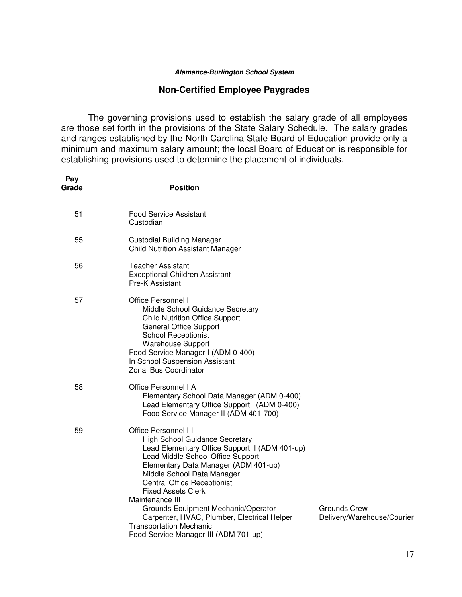#### **Non-Certified Employee Paygrades**

The governing provisions used to establish the salary grade of all employees are those set forth in the provisions of the State Salary Schedule. The salary grades and ranges established by the North Carolina State Board of Education provide only a minimum and maximum salary amount; the local Board of Education is responsible for establishing provisions used to determine the placement of individuals.

| Pay<br>Grade | <b>Position</b>                                                                                                                                                                                                                                                                                                                                                                                                                                                                            |                                            |
|--------------|--------------------------------------------------------------------------------------------------------------------------------------------------------------------------------------------------------------------------------------------------------------------------------------------------------------------------------------------------------------------------------------------------------------------------------------------------------------------------------------------|--------------------------------------------|
| 51           | <b>Food Service Assistant</b><br>Custodian                                                                                                                                                                                                                                                                                                                                                                                                                                                 |                                            |
| 55           | <b>Custodial Building Manager</b><br><b>Child Nutrition Assistant Manager</b>                                                                                                                                                                                                                                                                                                                                                                                                              |                                            |
| 56           | <b>Teacher Assistant</b><br><b>Exceptional Children Assistant</b><br>Pre-K Assistant                                                                                                                                                                                                                                                                                                                                                                                                       |                                            |
| 57           | <b>Office Personnel II</b><br>Middle School Guidance Secretary<br><b>Child Nutrition Office Support</b><br><b>General Office Support</b><br><b>School Receptionist</b><br><b>Warehouse Support</b><br>Food Service Manager I (ADM 0-400)<br>In School Suspension Assistant<br><b>Zonal Bus Coordinator</b>                                                                                                                                                                                 |                                            |
| 58           | <b>Office Personnel IIA</b><br>Elementary School Data Manager (ADM 0-400)<br>Lead Elementary Office Support I (ADM 0-400)<br>Food Service Manager II (ADM 401-700)                                                                                                                                                                                                                                                                                                                         |                                            |
| 59           | <b>Office Personnel III</b><br><b>High School Guidance Secretary</b><br>Lead Elementary Office Support II (ADM 401-up)<br>Lead Middle School Office Support<br>Elementary Data Manager (ADM 401-up)<br>Middle School Data Manager<br><b>Central Office Receptionist</b><br><b>Fixed Assets Clerk</b><br>Maintenance III<br>Grounds Equipment Mechanic/Operator<br>Carpenter, HVAC, Plumber, Electrical Helper<br><b>Transportation Mechanic I</b><br>Food Service Manager III (ADM 701-up) | Grounds Crew<br>Delivery/Warehouse/Courier |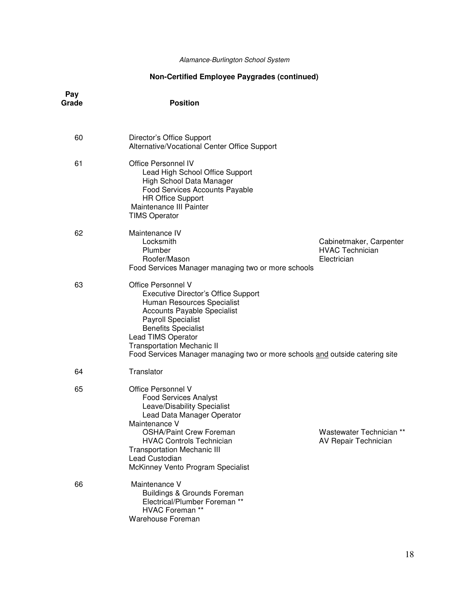## **Non-Certified Employee Paygrades (continued)**

| Pay<br>Grade | <b>Position</b>                                                                                                                                                                                                                                                                                                                            |                          |
|--------------|--------------------------------------------------------------------------------------------------------------------------------------------------------------------------------------------------------------------------------------------------------------------------------------------------------------------------------------------|--------------------------|
| 60           | Director's Office Support<br>Alternative/Vocational Center Office Support                                                                                                                                                                                                                                                                  |                          |
| 61           | <b>Office Personnel IV</b><br>Lead High School Office Support<br>High School Data Manager<br>Food Services Accounts Payable<br><b>HR Office Support</b><br>Maintenance III Painter<br><b>TIMS Operator</b>                                                                                                                                 |                          |
| 62           | Maintenance IV<br>Locksmith<br><b>HVAC Technician</b><br>Plumber<br>Roofer/Mason<br>Electrician<br>Food Services Manager managing two or more schools                                                                                                                                                                                      | Cabinetmaker, Carpenter  |
| 63           | Office Personnel V<br><b>Executive Director's Office Support</b><br>Human Resources Specialist<br><b>Accounts Payable Specialist</b><br><b>Payroll Specialist</b><br><b>Benefits Specialist</b><br>Lead TIMS Operator<br><b>Transportation Mechanic II</b><br>Food Services Manager managing two or more schools and outside catering site |                          |
| 64           | Translator                                                                                                                                                                                                                                                                                                                                 |                          |
| 65           | Office Personnel V<br><b>Food Services Analyst</b><br>Leave/Disability Specialist<br>Lead Data Manager Operator<br>Maintenance V<br><b>OSHA/Paint Crew Foreman</b><br><b>HVAC Controls Technician</b><br>AV Repair Technician<br><b>Transportation Mechanic III</b><br>Lead Custodian                                                      | Wastewater Technician ** |
|              | McKinney Vento Program Specialist                                                                                                                                                                                                                                                                                                          |                          |
| 66           | Maintenance V<br><b>Buildings &amp; Grounds Foreman</b><br>Electrical/Plumber Foreman **<br><b>HVAC Foreman **</b><br>Warehouse Foreman                                                                                                                                                                                                    |                          |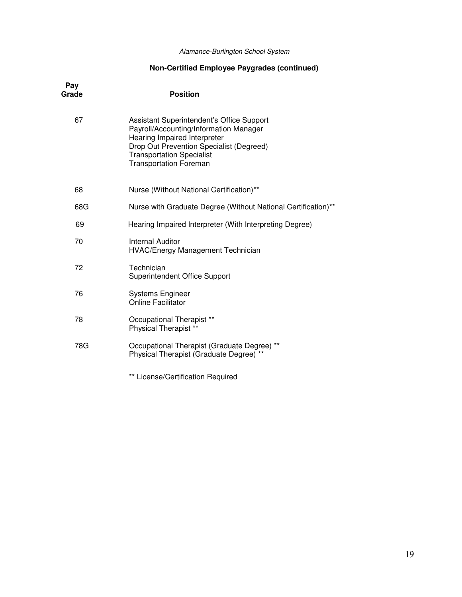### **Non-Certified Employee Paygrades (continued)**

| Pay<br>Grade | <b>Position</b>                                                                                                                                                                                                                      |
|--------------|--------------------------------------------------------------------------------------------------------------------------------------------------------------------------------------------------------------------------------------|
| 67           | Assistant Superintendent's Office Support<br>Payroll/Accounting/Information Manager<br>Hearing Impaired Interpreter<br>Drop Out Prevention Specialist (Degreed)<br><b>Transportation Specialist</b><br><b>Transportation Foreman</b> |
| 68           | Nurse (Without National Certification)**                                                                                                                                                                                             |
| 68G          | Nurse with Graduate Degree (Without National Certification)**                                                                                                                                                                        |
| 69           | Hearing Impaired Interpreter (With Interpreting Degree)                                                                                                                                                                              |
| 70           | <b>Internal Auditor</b><br><b>HVAC/Energy Management Technician</b>                                                                                                                                                                  |
| 72           | Technician<br><b>Superintendent Office Support</b>                                                                                                                                                                                   |
| 76           | <b>Systems Engineer</b><br><b>Online Facilitator</b>                                                                                                                                                                                 |
| 78           | Occupational Therapist **<br>Physical Therapist **                                                                                                                                                                                   |
| 78G          | Occupational Therapist (Graduate Degree) **<br>Physical Therapist (Graduate Degree) **                                                                                                                                               |
|              | ** License/Certification Required                                                                                                                                                                                                    |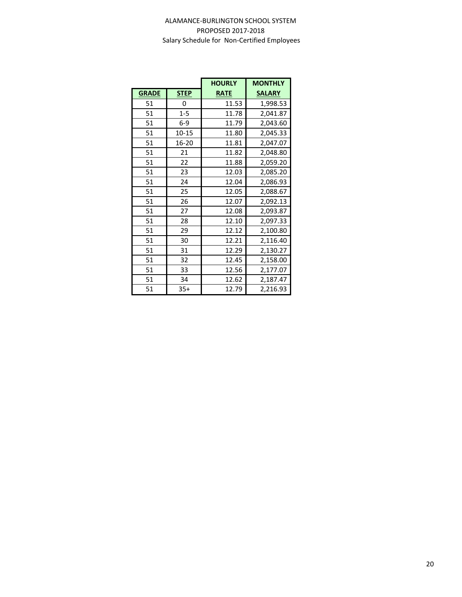|              |             | <b>HOURLY</b> | <b>MONTHLY</b> |
|--------------|-------------|---------------|----------------|
| <b>GRADE</b> | <b>STEP</b> | <b>RATE</b>   | <b>SALARY</b>  |
| 51           | 0           | 11.53         | 1,998.53       |
| 51           | $1 - 5$     | 11.78         | 2,041.87       |
| 51           | $6-9$       | 11.79         | 2,043.60       |
| 51           | $10 - 15$   | 11.80         | 2,045.33       |
| 51           | 16-20       | 11.81         | 2,047.07       |
| 51           | 21          | 11.82         | 2,048.80       |
| 51           | 22          | 11.88         | 2,059.20       |
| 51           | 23          | 12.03         | 2,085.20       |
| 51           | 24          | 12.04         | 2,086.93       |
| 51           | 25          | 12.05         | 2,088.67       |
| 51           | 26          | 12.07         | 2,092.13       |
| 51           | 27          | 12.08         | 2,093.87       |
| 51           | 28          | 12.10         | 2,097.33       |
| 51           | 29          | 12.12         | 2,100.80       |
| 51           | 30          | 12.21         | 2,116.40       |
| 51           | 31          | 12.29         | 2,130.27       |
| 51           | 32          | 12.45         | 2,158.00       |
| 51           | 33          | 12.56         | 2,177.07       |
| 51           | 34          | 12.62         | 2,187.47       |
| 51           | $35+$       | 12.79         | 2,216.93       |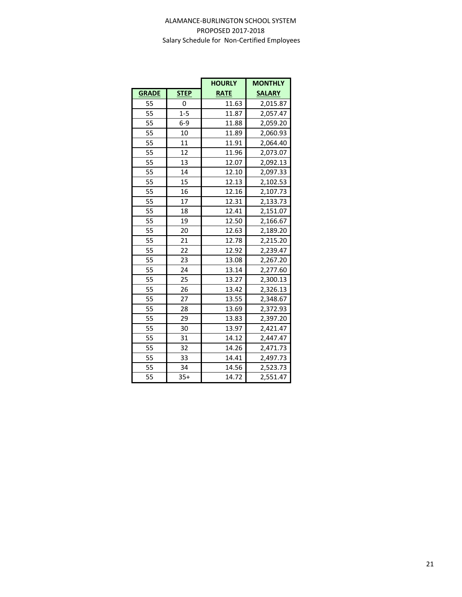|              |             | <b>HOURLY</b> | <b>MONTHLY</b> |
|--------------|-------------|---------------|----------------|
| <b>GRADE</b> | <b>STEP</b> | <b>RATE</b>   | <b>SALARY</b>  |
| 55           | 0           | 11.63         | 2,015.87       |
| 55           | $1 - 5$     | 11.87         | 2,057.47       |
| 55           | $6-9$       | 11.88         | 2,059.20       |
| 55           | 10          | 11.89         | 2,060.93       |
| 55           | 11          | 11.91         | 2,064.40       |
| 55           | 12          | 11.96         | 2,073.07       |
| 55           | 13          | 12.07         | 2,092.13       |
| 55           | 14          | 12.10         | 2,097.33       |
| 55           | 15          | 12.13         | 2,102.53       |
| 55           | 16          | 12.16         | 2,107.73       |
| 55           | 17          | 12.31         | 2,133.73       |
| 55           | 18          | 12.41         | 2,151.07       |
| 55           | 19          | 12.50         | 2,166.67       |
| 55           | 20          | 12.63         | 2,189.20       |
| 55           | 21          | 12.78         | 2,215.20       |
| 55           | 22          | 12.92         | 2,239.47       |
| 55           | 23          | 13.08         | 2,267.20       |
| 55           | 24          | 13.14         | 2,277.60       |
| 55           | 25          | 13.27         | 2,300.13       |
| 55           | 26          | 13.42         | 2,326.13       |
| 55           | 27          | 13.55         | 2,348.67       |
| 55           | 28          | 13.69         | 2,372.93       |
| 55           | 29          | 13.83         | 2,397.20       |
| 55           | 30          | 13.97         | 2,421.47       |
| 55           | 31          | 14.12         | 2,447.47       |
| 55           | 32          | 14.26         | 2,471.73       |
| 55           | 33          | 14.41         | 2,497.73       |
| 55           | 34          | 14.56         | 2,523.73       |
| 55           | $35+$       | 14.72         | 2,551.47       |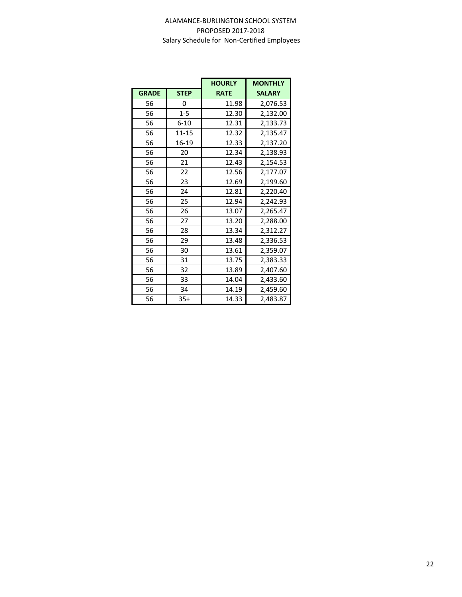|              |             | <b>HOURLY</b> | <b>MONTHLY</b> |
|--------------|-------------|---------------|----------------|
| <b>GRADE</b> | <b>STEP</b> | <b>RATE</b>   | <b>SALARY</b>  |
| 56           | 0           | 11.98         | 2,076.53       |
| 56           | $1 - 5$     | 12.30         | 2,132.00       |
| 56           | $6 - 10$    | 12.31         | 2,133.73       |
| 56           | $11 - 15$   | 12.32         | 2,135.47       |
| 56           | 16-19       | 12.33         | 2,137.20       |
| 56           | 20          | 12.34         | 2,138.93       |
| 56           | 21          | 12.43         | 2,154.53       |
| 56           | 22          | 12.56         | 2,177.07       |
| 56           | 23          | 12.69         | 2,199.60       |
| 56           | 24          | 12.81         | 2,220.40       |
| 56           | 25          | 12.94         | 2,242.93       |
| 56           | 26          | 13.07         | 2,265.47       |
| 56           | 27          | 13.20         | 2,288.00       |
| 56           | 28          | 13.34         | 2,312.27       |
| 56           | 29          | 13.48         | 2,336.53       |
| 56           | 30          | 13.61         | 2,359.07       |
| 56           | 31          | 13.75         | 2,383.33       |
| 56           | 32          | 13.89         | 2,407.60       |
| 56           | 33          | 14.04         | 2,433.60       |
| 56           | 34          | 14.19         | 2,459.60       |
| 56           | $35+$       | 14.33         | 2,483.87       |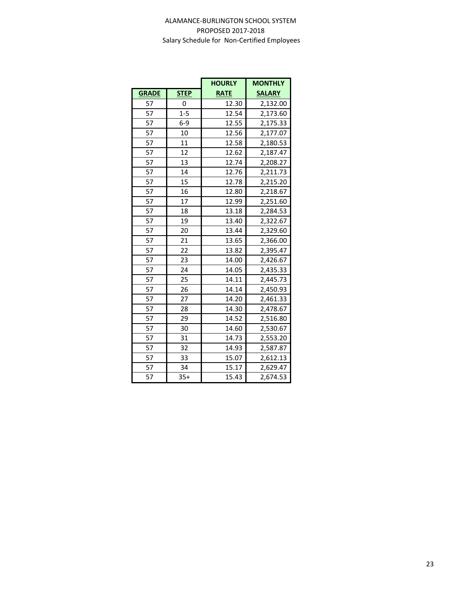|              |             | <b>HOURLY</b> | <b>MONTHLY</b> |
|--------------|-------------|---------------|----------------|
| <b>GRADE</b> | <b>STEP</b> | <b>RATE</b>   | <b>SALARY</b>  |
| 57           | 0           | 12.30         | 2,132.00       |
| 57           | $1 - 5$     | 12.54         | 2,173.60       |
| 57           | $6-9$       | 12.55         | 2,175.33       |
| 57           | 10          | 12.56         | 2,177.07       |
| 57           | 11          | 12.58         | 2,180.53       |
| 57           | 12          | 12.62         | 2,187.47       |
| 57           | 13          | 12.74         | 2,208.27       |
| 57           | 14          | 12.76         | 2,211.73       |
| 57           | 15          | 12.78         | 2,215.20       |
| 57           | 16          | 12.80         | 2,218.67       |
| 57           | 17          | 12.99         | 2,251.60       |
| 57           | 18          | 13.18         | 2,284.53       |
| 57           | 19          | 13.40         | 2,322.67       |
| 57           | 20          | 13.44         | 2,329.60       |
| 57           | 21          | 13.65         | 2,366.00       |
| 57           | 22          | 13.82         | 2,395.47       |
| 57           | 23          | 14.00         | 2,426.67       |
| 57           | 24          | 14.05         | 2,435.33       |
| 57           | 25          | 14.11         | 2,445.73       |
| 57           | 26          | 14.14         | 2,450.93       |
| 57           | 27          | 14.20         | 2,461.33       |
| 57           | 28          | 14.30         | 2,478.67       |
| 57           | 29          | 14.52         | 2,516.80       |
| 57           | 30          | 14.60         | 2,530.67       |
| 57           | 31          | 14.73         | 2,553.20       |
| 57           | 32          | 14.93         | 2,587.87       |
| 57           | 33          | 15.07         | 2,612.13       |
| 57           | 34          | 15.17         | 2,629.47       |
| 57           | $35+$       | 15.43         | 2,674.53       |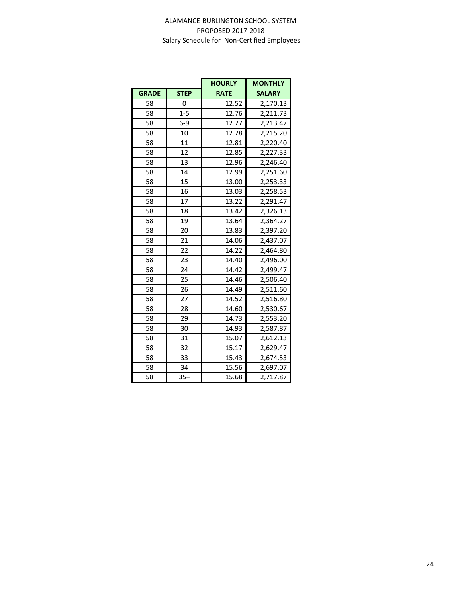|              |             | <b>HOURLY</b> | <b>MONTHLY</b> |
|--------------|-------------|---------------|----------------|
| <b>GRADE</b> | <b>STEP</b> | <b>RATE</b>   | <b>SALARY</b>  |
| 58           | 0           | 12.52         | 2,170.13       |
| 58           | $1 - 5$     | 12.76         | 2,211.73       |
| 58           | $6-9$       | 12.77         | 2,213.47       |
| 58           | 10          | 12.78         | 2,215.20       |
| 58           | 11          | 12.81         | 2,220.40       |
| 58           | 12          | 12.85         | 2,227.33       |
| 58           | 13          | 12.96         | 2,246.40       |
| 58           | 14          | 12.99         | 2,251.60       |
| 58           | 15          | 13.00         | 2,253.33       |
| 58           | 16          | 13.03         | 2,258.53       |
| 58           | 17          | 13.22         | 2,291.47       |
| 58           | 18          | 13.42         | 2,326.13       |
| 58           | 19          | 13.64         | 2,364.27       |
| 58           | 20          | 13.83         | 2,397.20       |
| 58           | 21          | 14.06         | 2,437.07       |
| 58           | 22          | 14.22         | 2,464.80       |
| 58           | 23          | 14.40         | 2,496.00       |
| 58           | 24          | 14.42         | 2,499.47       |
| 58           | 25          | 14.46         | 2,506.40       |
| 58           | 26          | 14.49         | 2,511.60       |
| 58           | 27          | 14.52         | 2,516.80       |
| 58           | 28          | 14.60         | 2,530.67       |
| 58           | 29          | 14.73         | 2,553.20       |
| 58           | 30          | 14.93         | 2,587.87       |
| 58           | 31          | 15.07         | 2,612.13       |
| 58           | 32          | 15.17         | 2,629.47       |
| 58           | 33          | 15.43         | 2,674.53       |
| 58           | 34          | 15.56         | 2,697.07       |
| 58           | $35+$       | 15.68         | 2,717.87       |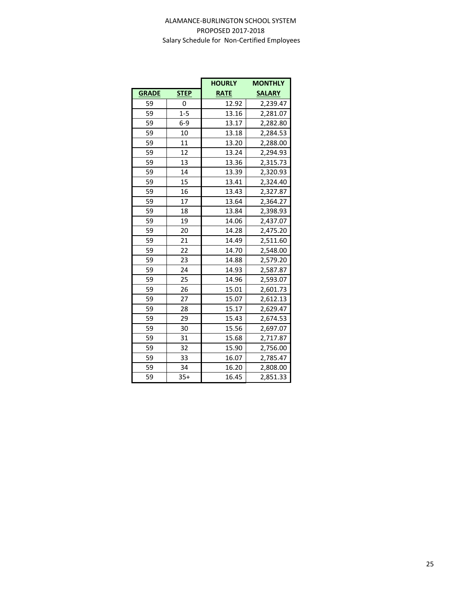|              |             | <b>HOURLY</b> | <b>MONTHLY</b> |
|--------------|-------------|---------------|----------------|
| <b>GRADE</b> | <b>STEP</b> | <b>RATE</b>   | <b>SALARY</b>  |
| 59           | 0           | 12.92         | 2,239.47       |
| 59           | $1 - 5$     | 13.16         | 2,281.07       |
| 59           | $6-9$       | 13.17         | 2,282.80       |
| 59           | 10          | 13.18         | 2,284.53       |
| 59           | 11          | 13.20         | 2,288.00       |
| 59           | 12          | 13.24         | 2,294.93       |
| 59           | 13          | 13.36         | 2,315.73       |
| 59           | 14          | 13.39         | 2,320.93       |
| 59           | 15          | 13.41         | 2,324.40       |
| 59           | 16          | 13.43         | 2,327.87       |
| 59           | 17          | 13.64         | 2,364.27       |
| 59           | 18          | 13.84         | 2,398.93       |
| 59           | 19          | 14.06         | 2,437.07       |
| 59           | 20          | 14.28         | 2,475.20       |
| 59           | 21          | 14.49         | 2,511.60       |
| 59           | 22          | 14.70         | 2,548.00       |
| 59           | 23          | 14.88         | 2,579.20       |
| 59           | 24          | 14.93         | 2,587.87       |
| 59           | 25          | 14.96         | 2,593.07       |
| 59           | 26          | 15.01         | 2,601.73       |
| 59           | 27          | 15.07         | 2,612.13       |
| 59           | 28          | 15.17         | 2,629.47       |
| 59           | 29          | 15.43         | 2,674.53       |
| 59           | 30          | 15.56         | 2,697.07       |
| 59           | 31          | 15.68         | 2,717.87       |
| 59           | 32          | 15.90         | 2,756.00       |
| 59           | 33          | 16.07         | 2,785.47       |
| 59           | 34          | 16.20         | 2,808.00       |
| 59           | $35+$       | 16.45         | 2,851.33       |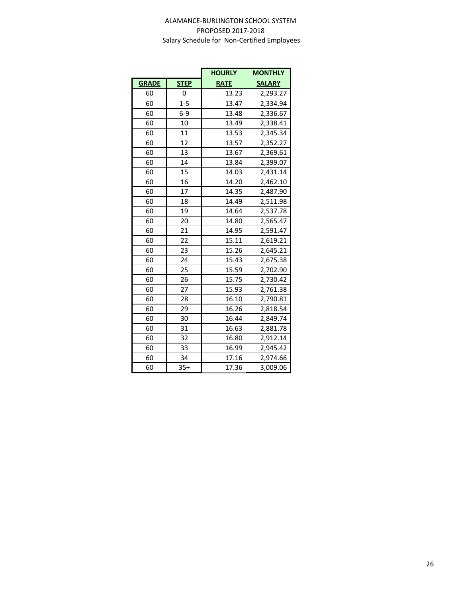|              |             | <b>HOURLY</b> | <b>MONTHLY</b> |
|--------------|-------------|---------------|----------------|
| <b>GRADE</b> | <b>STEP</b> | <b>RATE</b>   | <b>SALARY</b>  |
| 60           | 0           | 13.23         | 2,293.27       |
| 60           | $1 - 5$     | 13.47         | 2,334.94       |
| 60           | $6-9$       | 13.48         | 2,336.67       |
| 60           | 10          | 13.49         | 2,338.41       |
| 60           | 11          | 13.53         | 2,345.34       |
| 60           | 12          | 13.57         | 2,352.27       |
| 60           | 13          | 13.67         | 2,369.61       |
| 60           | 14          | 13.84         | 2,399.07       |
| 60           | 15          | 14.03         | 2,431.14       |
| 60           | 16          | 14.20         | 2,462.10       |
| 60           | 17          | 14.35         | 2,487.90       |
| 60           | 18          | 14.49         | 2,511.98       |
| 60           | 19          | 14.64         | 2,537.78       |
| 60           | 20          | 14.80         | 2,565.47       |
| 60           | 21          | 14.95         | 2,591.47       |
| 60           | 22          | 15.11         | 2,619.21       |
| 60           | 23          | 15.26         | 2,645.21       |
| 60           | 24          | 15.43         | 2,675.38       |
| 60           | 25          | 15.59         | 2,702.90       |
| 60           | 26          | 15.75         | 2,730.42       |
| 60           | 27          | 15.93         | 2,761.38       |
| 60           | 28          | 16.10         | 2,790.81       |
| 60           | 29          | 16.26         | 2,818.54       |
| 60           | 30          | 16.44         | 2,849.74       |
| 60           | 31          | 16.63         | 2,881.78       |
| 60           | 32          | 16.80         | 2,912.14       |
| 60           | 33          | 16.99         | 2,945.42       |
| 60           | 34          | 17.16         | 2,974.66       |
| 60           | $35+$       | 17.36         | 3,009.06       |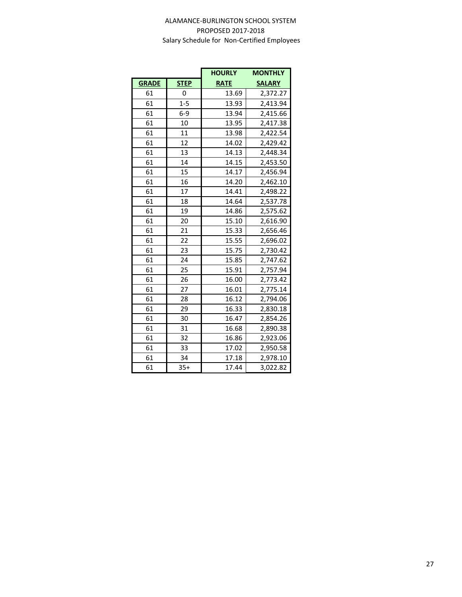|              |             | <b>HOURLY</b> | <b>MONTHLY</b> |
|--------------|-------------|---------------|----------------|
| <b>GRADE</b> | <b>STEP</b> | <b>RATE</b>   | <b>SALARY</b>  |
| 61           | 0           | 13.69         | 2,372.27       |
| 61           | $1 - 5$     | 13.93         | 2,413.94       |
| 61           | $6-9$       | 13.94         | 2,415.66       |
| 61           | 10          | 13.95         | 2,417.38       |
| 61           | 11          | 13.98         | 2,422.54       |
| 61           | 12          | 14.02         | 2,429.42       |
| 61           | 13          | 14.13         | 2,448.34       |
| 61           | 14          | 14.15         | 2,453.50       |
| 61           | 15          | 14.17         | 2,456.94       |
| 61           | 16          | 14.20         | 2,462.10       |
| 61           | 17          | 14.41         | 2,498.22       |
| 61           | 18          | 14.64         | 2,537.78       |
| 61           | 19          | 14.86         | 2,575.62       |
| 61           | 20          | 15.10         | 2,616.90       |
| 61           | 21          | 15.33         | 2,656.46       |
| 61           | 22          | 15.55         | 2,696.02       |
| 61           | 23          | 15.75         | 2,730.42       |
| 61           | 24          | 15.85         | 2,747.62       |
| 61           | 25          | 15.91         | 2,757.94       |
| 61           | 26          | 16.00         | 2,773.42       |
| 61           | 27          | 16.01         | 2,775.14       |
| 61           | 28          | 16.12         | 2,794.06       |
| 61           | 29          | 16.33         | 2,830.18       |
| 61           | 30          | 16.47         | 2,854.26       |
| 61           | 31          | 16.68         | 2,890.38       |
| 61           | 32          | 16.86         | 2,923.06       |
| 61           | 33          | 17.02         | 2,950.58       |
| 61           | 34          | 17.18         | 2,978.10       |
| 61           | $35+$       | 17.44         | 3,022.82       |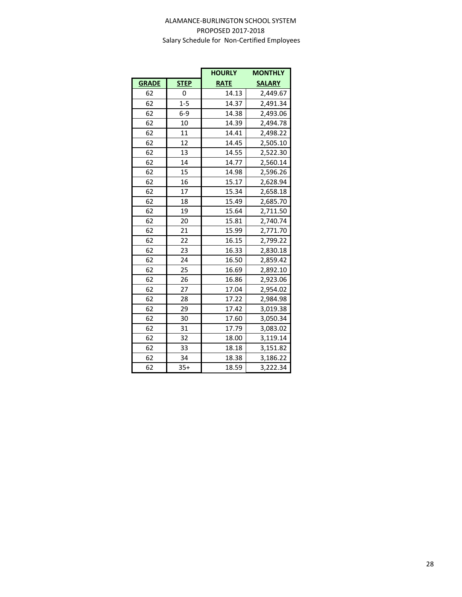|              |             | <b>HOURLY</b> | <b>MONTHLY</b> |
|--------------|-------------|---------------|----------------|
| <b>GRADE</b> | <b>STEP</b> | <b>RATE</b>   | <b>SALARY</b>  |
| 62           | 0           | 14.13         | 2,449.67       |
| 62           | $1 - 5$     | 14.37         | 2,491.34       |
| 62           | $6-9$       | 14.38         | 2,493.06       |
| 62           | 10          | 14.39         | 2,494.78       |
| 62           | 11          | 14.41         | 2,498.22       |
| 62           | 12          | 14.45         | 2,505.10       |
| 62           | 13          | 14.55         | 2,522.30       |
| 62           | 14          | 14.77         | 2,560.14       |
| 62           | 15          | 14.98         | 2,596.26       |
| 62           | 16          | 15.17         | 2,628.94       |
| 62           | 17          | 15.34         | 2,658.18       |
| 62           | 18          | 15.49         | 2,685.70       |
| 62           | 19          | 15.64         | 2,711.50       |
| 62           | 20          | 15.81         | 2,740.74       |
| 62           | 21          | 15.99         | 2,771.70       |
| 62           | 22          | 16.15         | 2,799.22       |
| 62           | 23          | 16.33         | 2,830.18       |
| 62           | 24          | 16.50         | 2,859.42       |
| 62           | 25          | 16.69         | 2,892.10       |
| 62           | 26          | 16.86         | 2,923.06       |
| 62           | 27          | 17.04         | 2,954.02       |
| 62           | 28          | 17.22         | 2,984.98       |
| 62           | 29          | 17.42         | 3,019.38       |
| 62           | 30          | 17.60         | 3,050.34       |
| 62           | 31          | 17.79         | 3,083.02       |
| 62           | 32          | 18.00         | 3,119.14       |
| 62           | 33          | 18.18         | 3,151.82       |
| 62           | 34          | 18.38         | 3,186.22       |
| 62           | $35+$       | 18.59         | 3,222.34       |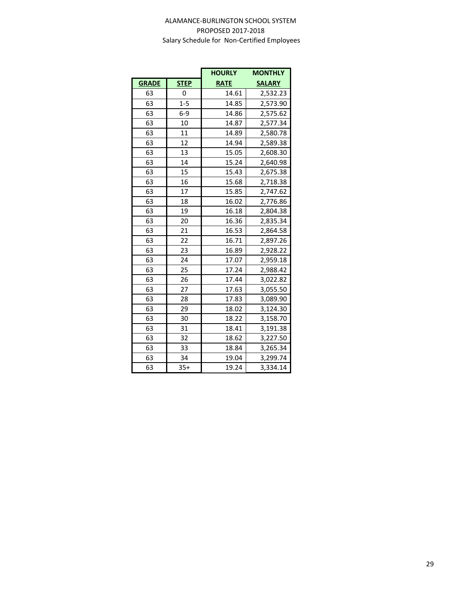|              |             | <b>HOURLY</b> | <b>MONTHLY</b> |
|--------------|-------------|---------------|----------------|
| <b>GRADE</b> | <b>STEP</b> | <b>RATE</b>   | <b>SALARY</b>  |
| 63           | 0           | 14.61         | 2,532.23       |
| 63           | $1 - 5$     | 14.85         | 2,573.90       |
| 63           | $6-9$       | 14.86         | 2,575.62       |
| 63           | 10          | 14.87         | 2,577.34       |
| 63           | 11          | 14.89         | 2,580.78       |
| 63           | 12          | 14.94         | 2,589.38       |
| 63           | 13          | 15.05         | 2,608.30       |
| 63           | 14          | 15.24         | 2,640.98       |
| 63           | 15          | 15.43         | 2,675.38       |
| 63           | 16          | 15.68         | 2,718.38       |
| 63           | 17          | 15.85         | 2,747.62       |
| 63           | 18          | 16.02         | 2,776.86       |
| 63           | 19          | 16.18         | 2,804.38       |
| 63           | 20          | 16.36         | 2,835.34       |
| 63           | 21          | 16.53         | 2,864.58       |
| 63           | 22          | 16.71         | 2,897.26       |
| 63           | 23          | 16.89         | 2,928.22       |
| 63           | 24          | 17.07         | 2,959.18       |
| 63           | 25          | 17.24         | 2,988.42       |
| 63           | 26          | 17.44         | 3,022.82       |
| 63           | 27          | 17.63         | 3,055.50       |
| 63           | 28          | 17.83         | 3,089.90       |
| 63           | 29          | 18.02         | 3,124.30       |
| 63           | 30          | 18.22         | 3,158.70       |
| 63           | 31          | 18.41         | 3,191.38       |
| 63           | 32          | 18.62         | 3,227.50       |
| 63           | 33          | 18.84         | 3,265.34       |
| 63           | 34          | 19.04         | 3,299.74       |
| 63           | $35+$       | 19.24         | 3,334.14       |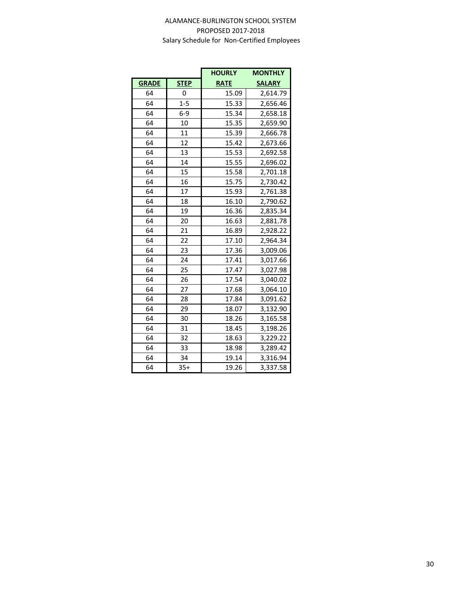|              |             | <b>HOURLY</b> | <b>MONTHLY</b> |
|--------------|-------------|---------------|----------------|
| <b>GRADE</b> | <b>STEP</b> | <b>RATE</b>   | <b>SALARY</b>  |
| 64           | 0           | 15.09         | 2,614.79       |
| 64           | $1 - 5$     | 15.33         | 2,656.46       |
| 64           | $6-9$       | 15.34         | 2,658.18       |
| 64           | 10          | 15.35         | 2,659.90       |
| 64           | 11          | 15.39         | 2,666.78       |
| 64           | 12          | 15.42         | 2,673.66       |
| 64           | 13          | 15.53         | 2,692.58       |
| 64           | 14          | 15.55         | 2,696.02       |
| 64           | 15          | 15.58         | 2,701.18       |
| 64           | 16          | 15.75         | 2,730.42       |
| 64           | 17          | 15.93         | 2,761.38       |
| 64           | 18          | 16.10         | 2,790.62       |
| 64           | 19          | 16.36         | 2,835.34       |
| 64           | 20          | 16.63         | 2,881.78       |
| 64           | 21          | 16.89         | 2,928.22       |
| 64           | 22          | 17.10         | 2,964.34       |
| 64           | 23          | 17.36         | 3,009.06       |
| 64           | 24          | 17.41         | 3,017.66       |
| 64           | 25          | 17.47         | 3,027.98       |
| 64           | 26          | 17.54         | 3,040.02       |
| 64           | 27          | 17.68         | 3,064.10       |
| 64           | 28          | 17.84         | 3,091.62       |
| 64           | 29          | 18.07         | 3,132.90       |
| 64           | 30          | 18.26         | 3,165.58       |
| 64           | 31          | 18.45         | 3,198.26       |
| 64           | 32          | 18.63         | 3,229.22       |
| 64           | 33          | 18.98         | 3,289.42       |
| 64           | 34          | 19.14         | 3,316.94       |
| 64           | $35+$       | 19.26         | 3,337.58       |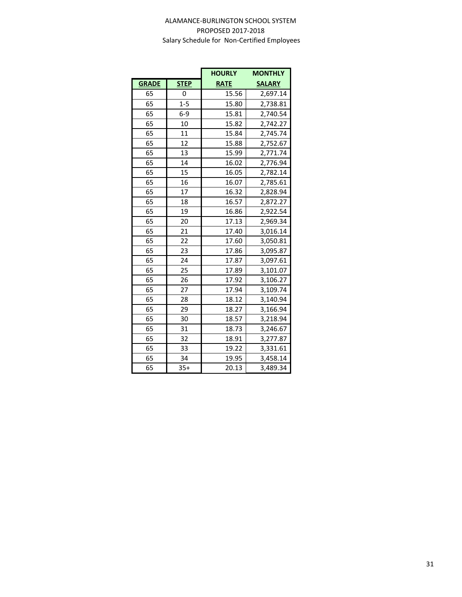|              |             | <b>HOURLY</b> | <b>MONTHLY</b> |
|--------------|-------------|---------------|----------------|
| <b>GRADE</b> | <b>STEP</b> | <b>RATE</b>   | <b>SALARY</b>  |
| 65           | 0           | 15.56         | 2,697.14       |
| 65           | $1 - 5$     | 15.80         | 2,738.81       |
| 65           | $6-9$       | 15.81         | 2,740.54       |
| 65           | 10          | 15.82         | 2,742.27       |
| 65           | 11          | 15.84         | 2,745.74       |
| 65           | 12          | 15.88         | 2,752.67       |
| 65           | 13          | 15.99         | 2,771.74       |
| 65           | 14          | 16.02         | 2,776.94       |
| 65           | 15          | 16.05         | 2,782.14       |
| 65           | 16          | 16.07         | 2,785.61       |
| 65           | 17          | 16.32         | 2,828.94       |
| 65           | 18          | 16.57         | 2,872.27       |
| 65           | 19          | 16.86         | 2,922.54       |
| 65           | 20          | 17.13         | 2,969.34       |
| 65           | 21          | 17.40         | 3,016.14       |
| 65           | 22          | 17.60         | 3,050.81       |
| 65           | 23          | 17.86         | 3,095.87       |
| 65           | 24          | 17.87         | 3,097.61       |
| 65           | 25          | 17.89         | 3,101.07       |
| 65           | 26          | 17.92         | 3,106.27       |
| 65           | 27          | 17.94         | 3,109.74       |
| 65           | 28          | 18.12         | 3,140.94       |
| 65           | 29          | 18.27         | 3,166.94       |
| 65           | 30          | 18.57         | 3,218.94       |
| 65           | 31          | 18.73         | 3,246.67       |
| 65           | 32          | 18.91         | 3,277.87       |
| 65           | 33          | 19.22         | 3,331.61       |
| 65           | 34          | 19.95         | 3,458.14       |
| 65           | $35+$       | 20.13         | 3,489.34       |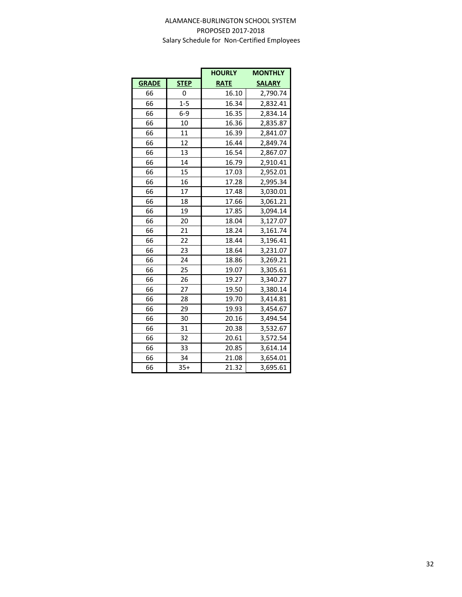|              |             | <b>HOURLY</b> | <b>MONTHLY</b> |
|--------------|-------------|---------------|----------------|
| <b>GRADE</b> | <b>STEP</b> | <b>RATE</b>   | <b>SALARY</b>  |
| 66           | 0           | 16.10         | 2,790.74       |
| 66           | $1 - 5$     | 16.34         | 2,832.41       |
| 66           | $6-9$       | 16.35         | 2,834.14       |
| 66           | 10          | 16.36         | 2,835.87       |
| 66           | 11          | 16.39         | 2,841.07       |
| 66           | 12          | 16.44         | 2,849.74       |
| 66           | 13          | 16.54         | 2,867.07       |
| 66           | 14          | 16.79         | 2,910.41       |
| 66           | 15          | 17.03         | 2,952.01       |
| 66           | 16          | 17.28         | 2,995.34       |
| 66           | 17          | 17.48         | 3,030.01       |
| 66           | 18          | 17.66         | 3,061.21       |
| 66           | 19          | 17.85         | 3,094.14       |
| 66           | 20          | 18.04         | 3,127.07       |
| 66           | 21          | 18.24         | 3,161.74       |
| 66           | 22          | 18.44         | 3,196.41       |
| 66           | 23          | 18.64         | 3,231.07       |
| 66           | 24          | 18.86         | 3,269.21       |
| 66           | 25          | 19.07         | 3,305.61       |
| 66           | 26          | 19.27         | 3,340.27       |
| 66           | 27          | 19.50         | 3,380.14       |
| 66           | 28          | 19.70         | 3,414.81       |
| 66           | 29          | 19.93         | 3,454.67       |
| 66           | 30          | 20.16         | 3,494.54       |
| 66           | 31          | 20.38         | 3,532.67       |
| 66           | 32          | 20.61         | 3,572.54       |
| 66           | 33          | 20.85         | 3,614.14       |
| 66           | 34          | 21.08         | 3,654.01       |
| 66           | $35+$       | 21.32         | 3,695.61       |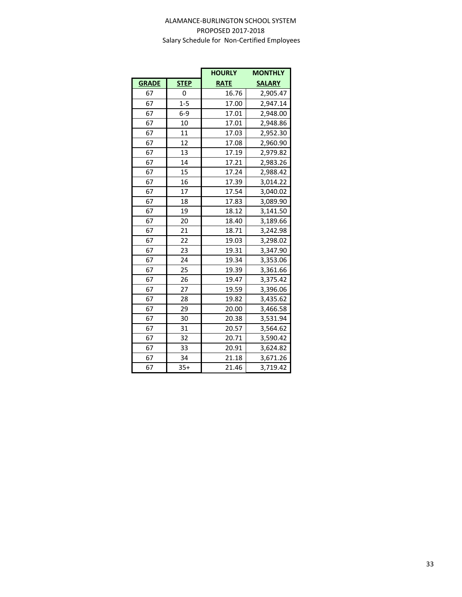|              |             | <b>HOURLY</b> | <b>MONTHLY</b> |
|--------------|-------------|---------------|----------------|
| <b>GRADE</b> | <b>STEP</b> | <b>RATE</b>   | <b>SALARY</b>  |
| 67           | 0           | 16.76         | 2,905.47       |
| 67           | $1 - 5$     | 17.00         | 2,947.14       |
| 67           | $6-9$       | 17.01         | 2,948.00       |
| 67           | 10          | 17.01         | 2,948.86       |
| 67           | 11          | 17.03         | 2,952.30       |
| 67           | 12          | 17.08         | 2,960.90       |
| 67           | 13          | 17.19         | 2,979.82       |
| 67           | 14          | 17.21         | 2,983.26       |
| 67           | 15          | 17.24         | 2,988.42       |
| 67           | 16          | 17.39         | 3,014.22       |
| 67           | 17          | 17.54         | 3,040.02       |
| 67           | 18          | 17.83         | 3,089.90       |
| 67           | 19          | 18.12         | 3,141.50       |
| 67           | 20          | 18.40         | 3,189.66       |
| 67           | 21          | 18.71         | 3,242.98       |
| 67           | 22          | 19.03         | 3,298.02       |
| 67           | 23          | 19.31         | 3,347.90       |
| 67           | 24          | 19.34         | 3,353.06       |
| 67           | 25          | 19.39         | 3,361.66       |
| 67           | 26          | 19.47         | 3,375.42       |
| 67           | 27          | 19.59         | 3,396.06       |
| 67           | 28          | 19.82         | 3,435.62       |
| 67           | 29          | 20.00         | 3,466.58       |
| 67           | 30          | 20.38         | 3,531.94       |
| 67           | 31          | 20.57         | 3,564.62       |
| 67           | 32          | 20.71         | 3,590.42       |
| 67           | 33          | 20.91         | 3,624.82       |
| 67           | 34          | 21.18         | 3,671.26       |
| 67           | $35+$       | 21.46         | 3,719.42       |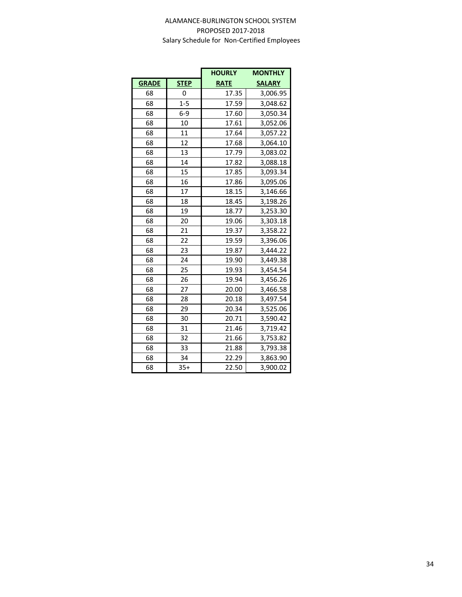|              |             | <b>HOURLY</b> | <b>MONTHLY</b> |
|--------------|-------------|---------------|----------------|
| <b>GRADE</b> | <b>STEP</b> | <b>RATE</b>   | <b>SALARY</b>  |
| 68           | 0           | 17.35         | 3,006.95       |
| 68           | $1 - 5$     | 17.59         | 3,048.62       |
| 68           | $6-9$       | 17.60         | 3,050.34       |
| 68           | 10          | 17.61         | 3,052.06       |
| 68           | 11          | 17.64         | 3,057.22       |
| 68           | 12          | 17.68         | 3,064.10       |
| 68           | 13          | 17.79         | 3,083.02       |
| 68           | 14          | 17.82         | 3,088.18       |
| 68           | 15          | 17.85         | 3,093.34       |
| 68           | 16          | 17.86         | 3,095.06       |
| 68           | 17          | 18.15         | 3,146.66       |
| 68           | 18          | 18.45         | 3,198.26       |
| 68           | 19          | 18.77         | 3,253.30       |
| 68           | 20          | 19.06         | 3,303.18       |
| 68           | 21          | 19.37         | 3,358.22       |
| 68           | 22          | 19.59         | 3,396.06       |
| 68           | 23          | 19.87         | 3,444.22       |
| 68           | 24          | 19.90         | 3,449.38       |
| 68           | 25          | 19.93         | 3,454.54       |
| 68           | 26          | 19.94         | 3,456.26       |
| 68           | 27          | 20.00         | 3,466.58       |
| 68           | 28          | 20.18         | 3,497.54       |
| 68           | 29          | 20.34         | 3,525.06       |
| 68           | 30          | 20.71         | 3,590.42       |
| 68           | 31          | 21.46         | 3,719.42       |
| 68           | 32          | 21.66         | 3,753.82       |
| 68           | 33          | 21.88         | 3,793.38       |
| 68           | 34          | 22.29         | 3,863.90       |
| 68           | $35+$       | 22.50         | 3,900.02       |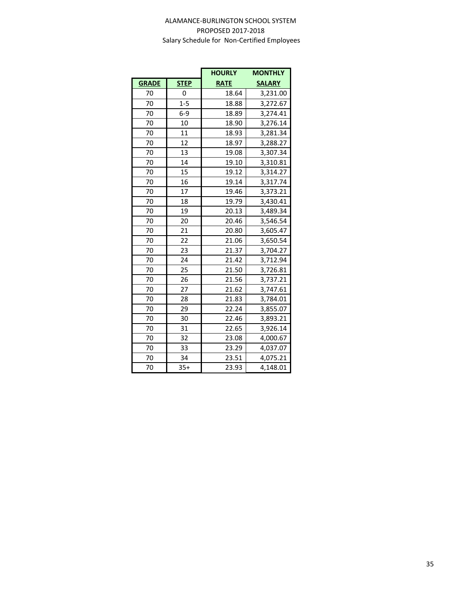|              |             | <b>HOURLY</b> | <b>MONTHLY</b> |
|--------------|-------------|---------------|----------------|
| <b>GRADE</b> | <b>STEP</b> | <b>RATE</b>   | <b>SALARY</b>  |
| 70           | 0           | 18.64         | 3,231.00       |
| 70           | $1 - 5$     | 18.88         | 3,272.67       |
| 70           | $6-9$       | 18.89         | 3,274.41       |
| 70           | 10          | 18.90         | 3,276.14       |
| 70           | 11          | 18.93         | 3,281.34       |
| 70           | 12          | 18.97         | 3,288.27       |
| 70           | 13          | 19.08         | 3,307.34       |
| 70           | 14          | 19.10         | 3,310.81       |
| 70           | 15          | 19.12         | 3,314.27       |
| 70           | 16          | 19.14         | 3,317.74       |
| 70           | 17          | 19.46         | 3,373.21       |
| 70           | 18          | 19.79         | 3,430.41       |
| 70           | 19          | 20.13         | 3,489.34       |
| 70           | 20          | 20.46         | 3,546.54       |
| 70           | 21          | 20.80         | 3,605.47       |
| 70           | 22          | 21.06         | 3,650.54       |
| 70           | 23          | 21.37         | 3,704.27       |
| 70           | 24          | 21.42         | 3,712.94       |
| 70           | 25          | 21.50         | 3,726.81       |
| 70           | 26          | 21.56         | 3,737.21       |
| 70           | 27          | 21.62         | 3,747.61       |
| 70           | 28          | 21.83         | 3,784.01       |
| 70           | 29          | 22.24         | 3,855.07       |
| 70           | 30          | 22.46         | 3,893.21       |
| 70           | 31          | 22.65         | 3,926.14       |
| 70           | 32          | 23.08         | 4,000.67       |
| 70           | 33          | 23.29         | 4,037.07       |
| 70           | 34          | 23.51         | 4,075.21       |
| 70           | $35+$       | 23.93         | 4,148.01       |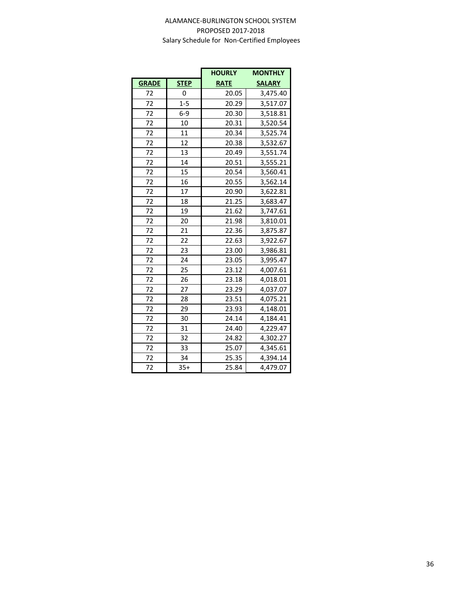|              |                | <b>HOURLY</b> | <b>MONTHLY</b> |  |
|--------------|----------------|---------------|----------------|--|
| <b>GRADE</b> | <b>STEP</b>    | <b>RATE</b>   | <b>SALARY</b>  |  |
| 72           | $\overline{0}$ | 20.05         | 3,475.40       |  |
| 72           | $1 - 5$        | 20.29         | 3,517.07       |  |
| 72           | $6-9$          | 20.30         | 3,518.81       |  |
| 72           | 10             | 20.31         | 3,520.54       |  |
| 72           | 11             | 20.34         | 3,525.74       |  |
| 72           | 12             | 20.38         | 3,532.67       |  |
| 72           | 13             | 20.49         | 3,551.74       |  |
| 72           | 14             | 20.51         | 3,555.21       |  |
| 72           | 15             | 20.54         | 3,560.41       |  |
| 72           | 16             | 20.55         | 3,562.14       |  |
| 72           | 17             | 20.90         | 3,622.81       |  |
| 72           | 18             | 21.25         | 3,683.47       |  |
| 72           | 19             | 21.62         | 3,747.61       |  |
| 72           | 20             | 21.98         | 3,810.01       |  |
| 72           | 21             | 22.36         | 3,875.87       |  |
| 72           | 22             | 22.63         | 3,922.67       |  |
| 72           | 23             | 23.00         | 3,986.81       |  |
| 72           | 24             | 23.05         | 3,995.47       |  |
| 72           | 25             | 23.12         | 4,007.61       |  |
| 72           | 26             | 23.18         | 4,018.01       |  |
| 72           | 27             | 23.29         | 4,037.07       |  |
| 72           | 28             | 23.51         | 4,075.21       |  |
| 72           | 29             | 23.93         | 4,148.01       |  |
| 72           | 30             | 24.14         | 4,184.41       |  |
| 72           | 31             | 24.40         | 4,229.47       |  |
| 72           | 32             | 24.82         | 4,302.27       |  |
| 72           | 33             | 25.07         | 4,345.61       |  |
| 72           | 34             | 25.35         | 4,394.14       |  |
| 72           | $35+$          | 25.84         | 4,479.07       |  |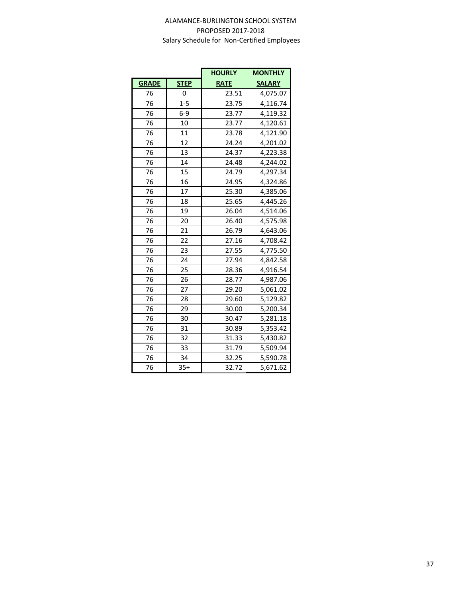|              |             | <b>HOURLY</b> | <b>MONTHLY</b> |  |
|--------------|-------------|---------------|----------------|--|
| <b>GRADE</b> | <b>STEP</b> | <b>RATE</b>   | <b>SALARY</b>  |  |
| 76           | 0           | 23.51         | 4,075.07       |  |
| 76           | $1 - 5$     | 23.75         | 4,116.74       |  |
| 76           | $6-9$       | 23.77         | 4,119.32       |  |
| 76           | 10          | 23.77         | 4,120.61       |  |
| 76           | 11          | 23.78         | 4,121.90       |  |
| 76           | 12          | 24.24         | 4,201.02       |  |
| 76           | 13          | 24.37         | 4,223.38       |  |
| 76           | 14          | 24.48         | 4,244.02       |  |
| 76           | 15          | 24.79         | 4,297.34       |  |
| 76           | 16          | 24.95         | 4,324.86       |  |
| 76           | 17          | 25.30         | 4,385.06       |  |
| 76           | 18          | 25.65         | 4,445.26       |  |
| 76           | 19          | 26.04         | 4,514.06       |  |
| 76           | 20          | 26.40         | 4,575.98       |  |
| 76           | 21          | 26.79         | 4,643.06       |  |
| 76           | 22          | 27.16         | 4,708.42       |  |
| 76           | 23          | 27.55         | 4,775.50       |  |
| 76           | 24          | 27.94         | 4,842.58       |  |
| 76           | 25          | 28.36         | 4,916.54       |  |
| 76           | 26          | 28.77         | 4,987.06       |  |
| 76           | 27          | 29.20         | 5,061.02       |  |
| 76           | 28          | 29.60         | 5,129.82       |  |
| 76           | 29          | 30.00         | 5,200.34       |  |
| 76           | 30          | 30.47         | 5,281.18       |  |
| 76           | 31          | 30.89         | 5,353.42       |  |
| 76           | 32          | 31.33         | 5,430.82       |  |
| 76           | 33          | 31.79         | 5,509.94       |  |
| 76           | 34          | 32.25         | 5,590.78       |  |
| 76           | $35+$       | 32.72         | 5,671.62       |  |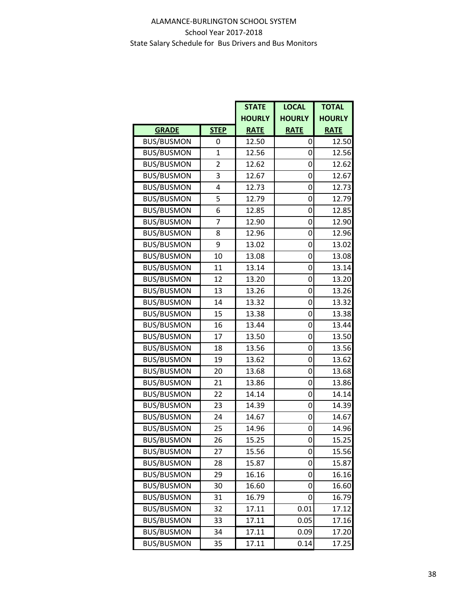## ALAMANCE-BURLINGTON SCHOOL SYSTEM School Year 2017-2018 State Salary Schedule for Bus Drivers and Bus Monitors

|                   |                | <b>STATE</b>  | <b>LOCAL</b>  | <b>TOTAL</b>  |
|-------------------|----------------|---------------|---------------|---------------|
|                   |                | <b>HOURLY</b> | <b>HOURLY</b> | <b>HOURLY</b> |
| <b>GRADE</b>      | <b>STEP</b>    | <b>RATE</b>   | <b>RATE</b>   | <b>RATE</b>   |
| <b>BUS/BUSMON</b> | 0              | 12.50         | 0             | 12.50         |
| <b>BUS/BUSMON</b> | 1              | 12.56         | 0             | 12.56         |
| <b>BUS/BUSMON</b> | $\overline{2}$ | 12.62         | 0             | 12.62         |
| <b>BUS/BUSMON</b> | 3              | 12.67         | 0             | 12.67         |
| <b>BUS/BUSMON</b> | 4              | 12.73         | 0             | 12.73         |
| <b>BUS/BUSMON</b> | 5              | 12.79         | 0             | 12.79         |
| <b>BUS/BUSMON</b> | 6              | 12.85         | 0             | 12.85         |
| <b>BUS/BUSMON</b> | 7              | 12.90         | 0             | 12.90         |
| <b>BUS/BUSMON</b> | 8              | 12.96         | 0             | 12.96         |
| <b>BUS/BUSMON</b> | 9              | 13.02         | 0             | 13.02         |
| <b>BUS/BUSMON</b> | 10             | 13.08         | 0             | 13.08         |
| <b>BUS/BUSMON</b> | 11             | 13.14         | 0             | 13.14         |
| <b>BUS/BUSMON</b> | 12             | 13.20         | 0             | 13.20         |
| <b>BUS/BUSMON</b> | 13             | 13.26         | 0             | 13.26         |
| <b>BUS/BUSMON</b> | 14             | 13.32         | 0             | 13.32         |
| <b>BUS/BUSMON</b> | 15             | 13.38         | 0             | 13.38         |
| <b>BUS/BUSMON</b> | 16             | 13.44         | 0             | 13.44         |
| <b>BUS/BUSMON</b> | 17             | 13.50         | 0             | 13.50         |
| <b>BUS/BUSMON</b> | 18             | 13.56         | 0             | 13.56         |
| <b>BUS/BUSMON</b> | 19             | 13.62         | 0             | 13.62         |
| <b>BUS/BUSMON</b> | 20             | 13.68         | 0             | 13.68         |
| <b>BUS/BUSMON</b> | 21             | 13.86         | 0             | 13.86         |
| <b>BUS/BUSMON</b> | 22             | 14.14         | 0             | 14.14         |
| <b>BUS/BUSMON</b> | 23             | 14.39         | 0             | 14.39         |
| <b>BUS/BUSMON</b> | 24             | 14.67         | 0             | 14.67         |
| <b>BUS/BUSMON</b> | 25             | 14.96         | 0             | 14.96         |
| <b>BUS/BUSMON</b> | 26             | 15.25         | 0             | 15.25         |
| <b>BUS/BUSMON</b> | 27             | 15.56         | 0             | 15.56         |
| <b>BUS/BUSMON</b> | 28             | 15.87         | 0             | 15.87         |
| <b>BUS/BUSMON</b> | 29             | 16.16         | 0             | 16.16         |
| <b>BUS/BUSMON</b> | 30             | 16.60         | 0             | 16.60         |
| <b>BUS/BUSMON</b> | 31             | 16.79         | 0             | 16.79         |
| <b>BUS/BUSMON</b> | 32             | 17.11         | 0.01          | 17.12         |
| <b>BUS/BUSMON</b> | 33             | 17.11         | 0.05          | 17.16         |
| <b>BUS/BUSMON</b> | 34             | 17.11         | 0.09          | 17.20         |
| <b>BUS/BUSMON</b> | 35             | 17.11         | 0.14          | 17.25         |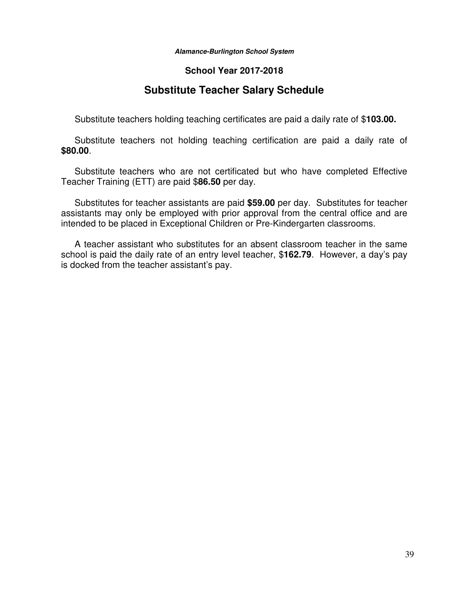#### **School Year 2017-2018**

## **Substitute Teacher Salary Schedule**

Substitute teachers holding teaching certificates are paid a daily rate of \$**103.00.**

 Substitute teachers not holding teaching certification are paid a daily rate of **\$80.00**.

 Substitute teachers who are not certificated but who have completed Effective Teacher Training (ETT) are paid \$**86.50** per day.

 Substitutes for teacher assistants are paid **\$59.00** per day. Substitutes for teacher assistants may only be employed with prior approval from the central office and are intended to be placed in Exceptional Children or Pre-Kindergarten classrooms.

 A teacher assistant who substitutes for an absent classroom teacher in the same school is paid the daily rate of an entry level teacher, \$**162.79**. However, a day's pay is docked from the teacher assistant's pay.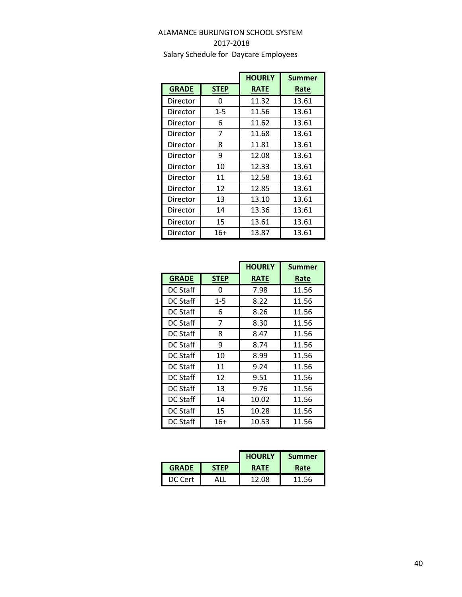### ALAMANCE BURLINGTON SCHOOL SYSTEM 2017-2018 Salary Schedule for Daycare Employees

|              |             | <b>HOURLY</b> | <b>Summer</b> |
|--------------|-------------|---------------|---------------|
| <b>GRADE</b> | <b>STEP</b> | <b>RATE</b>   | Rate          |
| Director     | 0           | 11.32         | 13.61         |
| Director     | 1-5         | 11.56         | 13.61         |
| Director     | 6           | 11.62         | 13.61         |
| Director     | 7           | 11.68         | 13.61         |
| Director     | 8           | 11.81         | 13.61         |
| Director     | 9           | 12.08         | 13.61         |
| Director     | 10          | 12.33         | 13.61         |
| Director     | 11          | 12.58         | 13.61         |
| Director     | 12          | 12.85         | 13.61         |
| Director     | 13          | 13.10         | 13.61         |
| Director     | 14          | 13.36         | 13.61         |
| Director     | 15          | 13.61         | 13.61         |
| Director     | 16+         | 13.87         | 13.61         |

|                 |             | <b>HOURLY</b> | <b>Summer</b> |
|-----------------|-------------|---------------|---------------|
| <b>GRADE</b>    | <b>STEP</b> | <b>RATE</b>   | Rate          |
| DC Staff        | 0           | 7.98          | 11.56         |
| DC Staff        | $1 - 5$     | 8.22          | 11.56         |
| DC Staff        | 6           | 8.26          | 11.56         |
| DC Staff        | 7           | 8.30          | 11.56         |
| <b>DC Staff</b> | 8           | 8.47          | 11.56         |
| DC Staff        | 9           | 8.74          | 11.56         |
| DC Staff        | 10          | 8.99          | 11.56         |
| DC Staff        | 11          | 9.24          | 11.56         |
| <b>DC Staff</b> | 12          | 9.51          | 11.56         |
| DC Staff        | 13          | 9.76          | 11.56         |
| DC Staff        | 14          | 10.02         | 11.56         |
| DC Staff        | 15          | 10.28         | 11.56         |
| <b>DC Staff</b> | $16+$       | 10.53         | 11.56         |

|              |             | <b>HOURLY</b> | <b>Summer</b> |
|--------------|-------------|---------------|---------------|
| <b>GRADE</b> | <b>STFP</b> | <b>RATE</b>   | Rate          |
| DC Cert      |             | 12.08         | 11.56         |